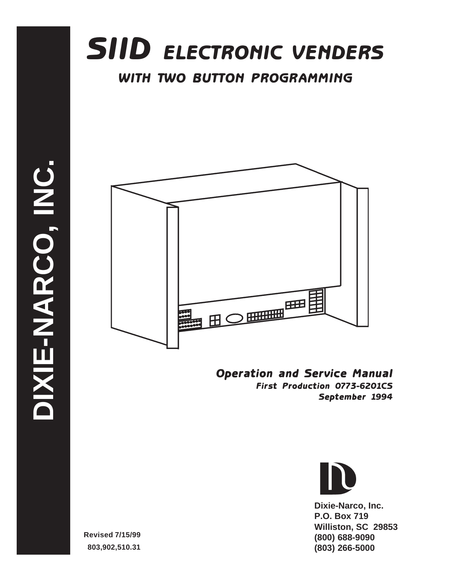



Operation and Service Manual First Production 0773-6201CS September 1994



**Dixie-Narco, Inc. P.O. Box 719 Williston, SC 29853 (800) 688-9090 (803) 266-5000**

**Revised 7/15/99 803,902,510.31**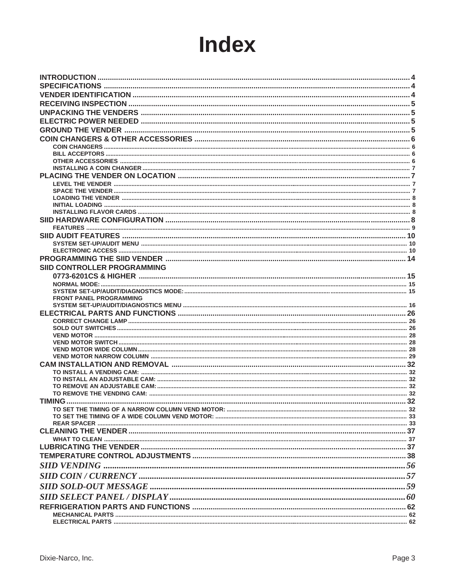# **Index**

| <b>SIID CONTROLLER PROGRAMMING</b> |  |
|------------------------------------|--|
|                                    |  |
|                                    |  |
| <b>FRONT PANEL PROGRAMMING</b>     |  |
|                                    |  |
|                                    |  |
|                                    |  |
|                                    |  |
|                                    |  |
|                                    |  |
|                                    |  |
|                                    |  |
|                                    |  |
|                                    |  |
|                                    |  |
| <b>TIMING</b>                      |  |
|                                    |  |
|                                    |  |
|                                    |  |
|                                    |  |
|                                    |  |
|                                    |  |
|                                    |  |
|                                    |  |
|                                    |  |
|                                    |  |
|                                    |  |
|                                    |  |
|                                    |  |
|                                    |  |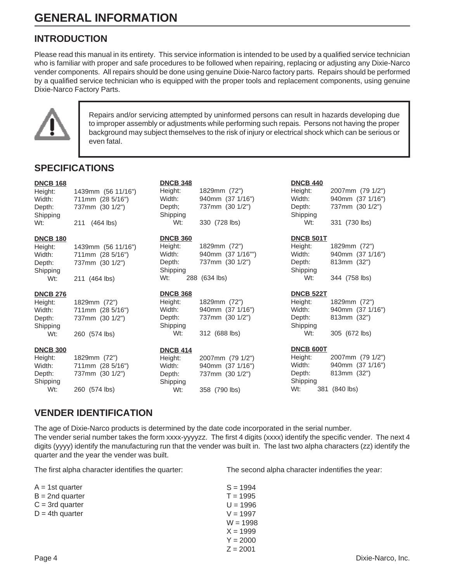# **INTRODUCTION**

Please read this manual in its entirety. This service information is intended to be used by a qualified service technician who is familiar with proper and safe procedures to be followed when repairing, replacing or adjusting any Dixie-Narco vender components. All repairs should be done using genuine Dixie-Narco factory parts. Repairs should be performed by a qualified service technician who is equipped with the proper tools and replacement components, using genuine Dixie-Narco Factory Parts.



Repairs and/or servicing attempted by uninformed persons can result in hazards developing due to improper assembly or adjustments while performing such repais. Persons not having the proper background may subject themselves to the risk of injury or electrical shock which can be serious or even fatal.

# **SPECIFICATIONS**

| <b>DNCB 168</b><br>Height:<br>Width:<br>Depth:<br>Shipping<br>Wt: | 1439mm (56 11/16")<br>711mm (28 5/16")<br>737mm (30 1/2")<br>211<br>$(464$ lbs) | <b>DNCB 348</b><br>Height:<br>Width:<br>Depth;<br>Shipping<br>W <sub>t:</sub> | 1829mm (72")<br>940mm (37 1/16")<br>737mm (30 1/2")<br>330 (728 lbs) | <b>DNCB 440</b><br>Height:<br>Width:<br>Depth:<br>Shipping<br>Wt: | 2007mm (79 1/2")<br>940mm (37 1/16")<br>737mm (30 1/2")<br>331 (730 lbs) |
|-------------------------------------------------------------------|---------------------------------------------------------------------------------|-------------------------------------------------------------------------------|----------------------------------------------------------------------|-------------------------------------------------------------------|--------------------------------------------------------------------------|
| <b>DNCB 180</b><br>Height:                                        | 1439mm (56 11/16")                                                              | <b>DNCB 360</b><br>Height:                                                    | 1829mm (72")                                                         | <b>DNCB 501T</b><br>Height:                                       | 1829mm (72")                                                             |
| Width:<br>Depth:<br>Shipping                                      | 711mm (28 5/16")<br>737mm (30 1/2")                                             | Width:<br>Depth:<br>Shipping                                                  | 940mm (37 1/16"")<br>737mm (30 1/2")                                 | Width:<br>Depth:<br>Shipping                                      | 940mm (37 1/16")<br>813mm (32")                                          |
| Wt:                                                               | 211 (464 lbs)                                                                   | Wt:                                                                           | 288 (634 lbs)                                                        | Wt:                                                               | 344 (758 lbs)                                                            |
| <b>DNCB 276</b>                                                   |                                                                                 | <b>DNCB 368</b>                                                               |                                                                      | <b>DNCB 522T</b>                                                  |                                                                          |
| Height:<br>Width:<br>Depth:<br>Shipping                           | 1829mm (72")<br>711mm (28 5/16")<br>737mm (30 1/2")                             | Height:<br>Width:<br>Depth:<br>Shipping                                       | 1829mm (72")<br>940mm (37 1/16")<br>737mm (30 1/2")                  | Height:<br>Width:<br>Depth:<br>Shipping                           | 1829mm (72")<br>940mm (37 1/16")<br>813mm (32")                          |
| Wt:                                                               | 260 (574 lbs)                                                                   | Wt:                                                                           | 312 (688 lbs)                                                        | Wt:                                                               | 305 (672 lbs)                                                            |
| <b>DNCB 300</b>                                                   |                                                                                 | <b>DNCB 414</b>                                                               |                                                                      | DNCB 600T                                                         |                                                                          |
| Height:<br>Width:<br>Depth:<br>Shipping                           | 1829mm (72")<br>711mm (28 5/16")<br>737mm (30 1/2")                             | Height:<br>Width:<br>Depth:<br>Shipping                                       | 2007mm (79 1/2")<br>940mm (37 1/16")<br>737mm (30 1/2")              | Height:<br>Width:<br>Depth:<br>Shipping                           | 2007mm (79 1/2")<br>940mm (37 1/16")<br>813mm (32")                      |
| Wt:                                                               | 260 (574 lbs)                                                                   | W <sub>t:</sub>                                                               | 358 (790 lbs)                                                        | Wt:<br>381                                                        | $(840$ lbs)                                                              |

# **VENDER IDENTIFICATION**

The age of Dixie-Narco products is determined by the date code incorporated in the serial number. The vender serial number takes the form xxxx-yyyyzz. The first 4 digits (xxxx) identify the specific vender. The next 4 digits (yyyy) identify the manufacturing run that the vender was built in. The last two alpha characters (zz) identify the quarter and the year the vender was built.

The first alpha character identifies the quarter:

| A = 1st quarter    | $S = 1994$ |
|--------------------|------------|
| $B = 2nd$ quarter  | $T = 1995$ |
| $C = 3rd$ quarter  | $U = 1996$ |
| $D = 4$ th quarter | $V = 1997$ |
|                    | $W = 1998$ |
|                    | $X = 1999$ |
|                    | $Y = 2000$ |
|                    | $Z = 2001$ |

The second alpha character indentifies the year: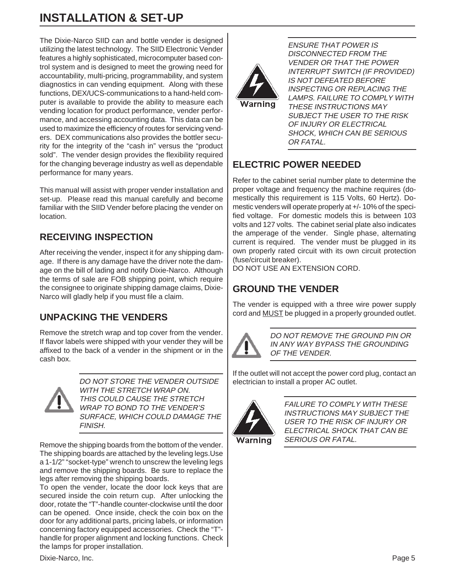The Dixie-Narco SIID can and bottle vender is designed utilizing the latest technology. The SIID Electronic Vender features a highly sophisticated, microcomputer based control system and is designed to meet the growing need for accountability, multi-pricing, programmability, and system diagnostics in can vending equipment. Along with these functions, DEX/UCS-communications to a hand-held computer is available to provide the ability to measure each vending location for product performance, vender performance, and accessing accounting data. This data can be used to maximize the efficiency of routes for servicing venders. DEX communications also provides the bottler security for the integrity of the "cash in" versus the "product sold". The vender design provides the flexibility required for the changing beverage industry as well as dependable performance for many years.

This manual will assist with proper vender installation and set-up. Please read this manual carefully and become familiar with the SIID Vender before placing the vender on location.

# **RECEIVING INSPECTION**

After receiving the vender, inspect it for any shipping damage. If there is any damage have the driver note the damage on the bill of lading and notify Dixie-Narco. Although the terms of sale are FOB shipping point, which require the consignee to originate shipping damage claims, Dixie-Narco will gladly help if you must file a claim.

# **UNPACKING THE VENDERS**

Remove the stretch wrap and top cover from the vender. If flavor labels were shipped with your vender they will be affixed to the back of a vender in the shipment or in the cash box.



DO NOT STORE THE VENDER OUTSIDE WITH THE STRETCH WRAP ON. THIS COULD CAUSE THE STRETCH WRAP TO BOND TO THE VENDER'S SURFACE, WHICH COULD DAMAGE THE FINISH.

Remove the shipping boards from the bottom of the vender. The shipping boards are attached by the leveling legs.Use a 1-1/2" "socket-type" wrench to unscrew the leveling legs and remove the shipping boards. Be sure to replace the legs after removing the shipping boards.

To open the vender, locate the door lock keys that are secured inside the coin return cup. After unlocking the door, rotate the "T"-handle counter-clockwise until the door can be opened. Once inside, check the coin box on the door for any additional parts, pricing labels, or information concerning factory equipped accessories. Check the "T" handle for proper alignment and locking functions. Check the lamps for proper installation.



ENSURE THAT POWER IS DISCONNECTED FROM THE VENDER OR THAT THE POWER INTERRUPT SWITCH (IF PROVIDED) IS NOT DEFEATED BEFORE INSPECTING OR REPLACING THE LAMPS. FAILURE TO COMPLY WITH THESE INSTRUCTIONS MAY SUBJECT THE USER TO THE RISK OF INJURY OR ELECTRICAL SHOCK, WHICH CAN BE SERIOUS OR FATAL.

# **ELECTRIC POWER NEEDED**

Refer to the cabinet serial number plate to determine the proper voltage and frequency the machine requires (domestically this requirement is 115 Volts, 60 Hertz). Domestic venders will operate properly at +/- 10% of the specified voltage. For domestic models this is between 103 volts and 127 volts. The cabinet serial plate also indicates the amperage of the vender. Single phase, alternating current is required. The vender must be plugged in its own properly rated circuit with its own circuit protection (fuse/circuit breaker).

DO NOT USE AN EXTENSION CORD.

# **GROUND THE VENDER**

The vender is equipped with a three wire power supply cord and MUST be plugged in a properly grounded outlet.



DO NOT REMOVE THE GROUND PIN OR IN ANY WAY BYPASS THE GROUNDING OF THE VENDER.

If the outlet will not accept the power cord plug, contact an electrician to install a proper AC outlet.



FAILURE TO COMPLY WITH THESE INSTRUCTIONS MAY SUBJECT THE USER TO THE RISK OF INJURY OR ELECTRICAL SHOCK THAT CAN BE SERIOUS OR FATAL.

Dixie-Narco, Inc. Page 5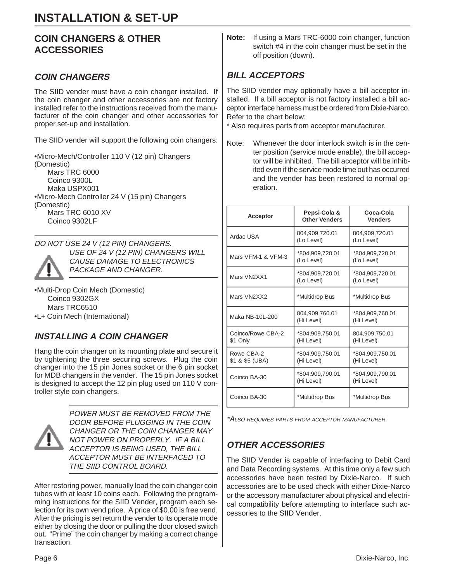# **COIN CHANGERS & OTHER ACCESSORIES**

# **COIN CHANGERS**

The SIID vender must have a coin changer installed. If the coin changer and other accessories are not factory installed refer to the instructions received from the manufacturer of the coin changer and other accessories for proper set-up and installation.

The SIID vender will support the following coin changers:

•Micro-Mech/Controller 110 V (12 pin) Changers (Domestic) Mars TRC 6000 Coinco 9300L Maka USPX001 •Micro-Mech Controller 24 V (15 pin) Changers (Domestic) Mars TRC 6010 XV Coinco 9302LF

DO NOT USE 24 V (12 PIN) CHANGERS.



USE OF 24 V (12 PIN) CHANGERS WILL CAUSE DAMAGE TO ELECTRONICS PACKAGE AND CHANGER.

•Multi-Drop Coin Mech (Domestic) Coinco 9302GX Mars TRC6510 •L+ Coin Mech (International)

# **INSTALLING A COIN CHANGER**

Hang the coin changer on its mounting plate and secure it by tightening the three securing screws. Plug the coin changer into the 15 pin Jones socket or the 6 pin socket for MDB changers in the vender. The 15 pin Jones socket is designed to accept the 12 pin plug used on 110 V controller style coin changers.



POWER MUST BE REMOVED FROM THE DOOR BEFORE PLUGGING IN THE COIN CHANGER OR THE COIN CHANGER MAY NOT POWER ON PROPERLY. IF A BILL ACCEPTOR IS BEING USED, THE BILL ACCEPTOR MUST BE INTERFACED TO THE SIID CONTROL BOARD.

After restoring power, manually load the coin changer coin tubes with at least 10 coins each. Following the programming instructions for the SIID Vender, program each selection for its own vend price. A price of \$0.00 is free vend. After the pricing is set return the vender to its operate mode either by closing the door or pulling the door closed switch out. "Prime" the coin changer by making a correct change transaction.

**Note:** If using a Mars TRC-6000 coin changer, function switch #4 in the coin changer must be set in the off position (down).

# **BILL ACCEPTORS**

The SIID vender may optionally have a bill acceptor installed. If a bill acceptor is not factory installed a bill acceptor interface harness must be ordered from Dixie-Narco. Refer to the chart below:

\* Also requires parts from acceptor manufacturer.

Note: Whenever the door interlock switch is in the center position (service mode enable), the bill acceptor will be inhibited. The bill acceptor will be inhibited even if the service mode time out has occurred and the vender has been restored to normal operation.

| <b>Acceptor</b>               | Pepsi-Cola &<br><b>Other Venders</b> | Coca-Cola<br><b>Venders</b>   |
|-------------------------------|--------------------------------------|-------------------------------|
| Ardac USA                     | 804,909,720.01<br>(Lo Level)         | 804,909,720.01<br>(Lo Level)  |
| Mars VFM-1 & VFM-3            | *804,909,720.01<br>(Lo Level)        | *804,909,720.01<br>(Lo Level) |
| Mars VN2XX1                   | *804,909,720.01<br>(Lo Level)        | *804,909,720.01<br>(Lo Level) |
| Mars VN2XX2                   | *Multidrop Bus                       | *Multidrop Bus                |
| Maka NB-10L-200               | 804,909,760.01<br>(Hi Level)         | *804,909,760.01<br>(Hi Level) |
| Coinco/Rowe CBA-2<br>\$1 Only | *804,909,750.01<br>(Hi Level)        | 804,909,750.01<br>(Hi Level)  |
| Rowe CBA-2<br>\$1 & \$5 (UBA) | *804,909,750.01<br>(Hi Level)        | *804,909,750.01<br>(Hi Level) |
| Coinco BA-30                  | *804,909,790.01<br>(Hi Level)        | *804,909,790.01<br>(Hi Level) |
| Coinco BA-30                  | *Multidrop Bus                       | *Multidrop Bus                |

\*ALSO REQUIRES PARTS FROM ACCEPTOR MANUFACTURER.

# **OTHER ACCESSORIES**

The SIID Vender is capable of interfacing to Debit Card and Data Recording systems. At this time only a few such accessories have been tested by Dixie-Narco. If such accessories are to be used check with either Dixie-Narco or the accessory manufacturer about physical and electrical compatibility before attempting to interface such accessories to the SIID Vender.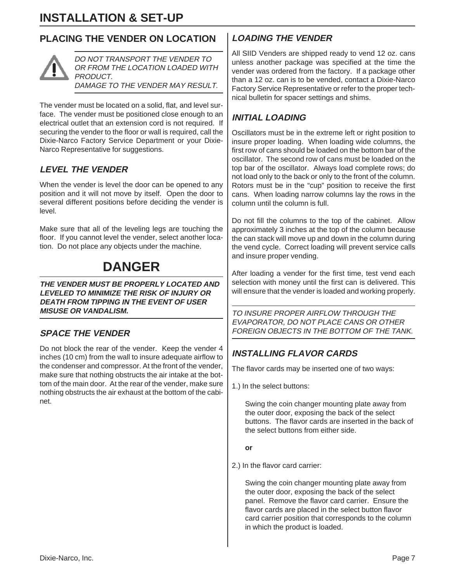# **PLACING THE VENDER ON LOCATION**



DO NOT TRANSPORT THE VENDER TO OR FROM THE LOCATION LOADED WITH PRODUCT. DAMAGE TO THE VENDER MAY RESULT.

The vender must be located on a solid, flat, and level surface. The vender must be positioned close enough to an electrical outlet that an extension cord is not required. If securing the vender to the floor or wall is required, call the Dixie-Narco Factory Service Department or your Dixie-Narco Representative for suggestions.

# **LEVEL THE VENDER**

When the vender is level the door can be opened to any position and it will not move by itself. Open the door to several different positions before deciding the vender is level.

Make sure that all of the leveling legs are touching the floor. If you cannot level the vender, select another location. Do not place any objects under the machine.

# **DANGER**

**THE VENDER MUST BE PROPERLY LOCATED AND LEVELED TO MINIMIZE THE RISK OF INJURY OR DEATH FROM TIPPING IN THE EVENT OF USER MISUSE OR VANDALISM.**

### **SPACE THE VENDER**

Do not block the rear of the vender. Keep the vender 4 inches (10 cm) from the wall to insure adequate airflow to the condenser and compressor. At the front of the vender, make sure that nothing obstructs the air intake at the bottom of the main door. At the rear of the vender, make sure nothing obstructs the air exhaust at the bottom of the cabinet.

# **LOADING THE VENDER**

All SIID Venders are shipped ready to vend 12 oz. cans unless another package was specified at the time the vender was ordered from the factory. If a package other than a 12 oz. can is to be vended, contact a Dixie-Narco Factory Service Representative or refer to the proper technical bulletin for spacer settings and shims.

# **INITIAL LOADING**

Oscillators must be in the extreme left or right position to insure proper loading. When loading wide columns, the first row of cans should be loaded on the bottom bar of the oscillator. The second row of cans must be loaded on the top bar of the oscillator. Always load complete rows; do not load only to the back or only to the front of the column. Rotors must be in the "cup" position to receive the first cans. When loading narrow columns lay the rows in the column until the column is full.

Do not fill the columns to the top of the cabinet. Allow approximately 3 inches at the top of the column because the can stack will move up and down in the column during the vend cycle. Correct loading will prevent service calls and insure proper vending.

After loading a vender for the first time, test vend each selection with money until the first can is delivered. This will ensure that the vender is loaded and working properly.

TO INSURE PROPER AIRFLOW THROUGH THE EVAPORATOR, DO NOT PLACE CANS OR OTHER FOREIGN OBJECTS IN THE BOTTOM OF THE TANK.

# **INSTALLING FLAVOR CARDS**

The flavor cards may be inserted one of two ways:

1.) In the select buttons:

Swing the coin changer mounting plate away from the outer door, exposing the back of the select buttons. The flavor cards are inserted in the back of the select buttons from either side.

#### **or**

2.) In the flavor card carrier:

Swing the coin changer mounting plate away from the outer door, exposing the back of the select panel. Remove the flavor card carrier. Ensure the flavor cards are placed in the select button flavor card carrier position that corresponds to the column in which the product is loaded.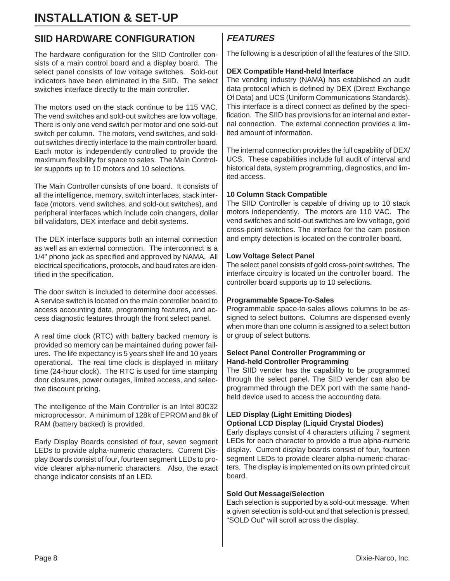# **SIID HARDWARE CONFIGURATION**

The hardware configuration for the SIID Controller consists of a main control board and a display board. The select panel consists of low voltage switches. Sold-out indicators have been eliminated in the SIID. The select switches interface directly to the main controller.

The motors used on the stack continue to be 115 VAC. The vend switches and sold-out switches are low voltage. There is only one vend switch per motor and one sold-out switch per column. The motors, vend switches, and soldout switches directly interface to the main controller board. Each motor is independently controlled to provide the maximum flexibility for space to sales. The Main Controller supports up to 10 motors and 10 selections.

The Main Controller consists of one board. It consists of all the intelligence, memory, switch interfaces, stack interface (motors, vend switches, and sold-out switches), and peripheral interfaces which include coin changers, dollar bill validators, DEX interface and debit systems.

The DEX interface supports both an internal connection as well as an external connection. The interconnect is a 1/4" phono jack as specified and approved by NAMA. All electrical specifications, protocols, and baud rates are identified in the specification.

The door switch is included to determine door accesses. A service switch is located on the main controller board to access accounting data, programming features, and access diagnostic features through the front select panel.

A real time clock (RTC) with battery backed memory is provided so memory can be maintained during power failures. The life expectancy is 5 years shelf life and 10 years operational. The real time clock is displayed in military time (24-hour clock). The RTC is used for time stamping door closures, power outages, limited access, and selective discount pricing.

The intelligence of the Main Controller is an Intel 80C32 microprocessor. A minimum of 128k of EPROM and 8k of RAM (battery backed) is provided.

Early Display Boards consisted of four, seven segment LEDs to provide alpha-numeric characters. Current Display Boards consist of four, fourteen segment LEDs to provide clearer alpha-numeric characters. Also, the exact change indicator consists of an LED.

# **FEATURES**

The following is a description of all the features of the SIID.

#### **DEX Compatible Hand-held Interface**

The vending industry (NAMA) has established an audit data protocol which is defined by DEX (Direct Exchange Of Data) and UCS (Uniform Communications Standards). This interface is a direct connect as defined by the specification. The SIID has provisions for an internal and external connection. The external connection provides a limited amount of information.

The internal connection provides the full capability of DEX/ UCS. These capabilities include full audit of interval and historical data, system programming, diagnostics, and limited access.

#### **10 Column Stack Compatible**

The SIID Controller is capable of driving up to 10 stack motors independently. The motors are 110 VAC. The vend switches and sold-out switches are low voltage, gold cross-point switches. The interface for the cam position and empty detection is located on the controller board.

#### **Low Voltage Select Panel**

The select panel consists of gold cross-point switches. The interface circuitry is located on the controller board. The controller board supports up to 10 selections.

#### **Programmable Space-To-Sales**

Programmable space-to-sales allows columns to be assigned to select buttons. Columns are dispensed evenly when more than one column is assigned to a select button or group of select buttons.

#### **Select Panel Controller Programming or Hand-held Controller Programming**

The SIID vender has the capability to be programmed through the select panel. The SIID vender can also be programmed through the DEX port with the same handheld device used to access the accounting data.

### **LED Display (Light Emitting Diodes) Optional LCD Display (Liquid Crystal Diodes)**

Early displays consist of 4 characters utilizing 7 segment LEDs for each character to provide a true alpha-numeric display. Current display boards consist of four, fourteen segment LEDs to provide clearer alpha-numeric characters. The display is implemented on its own printed circuit board.

#### **Sold Out Message/Selection**

Each selection is supported by a sold-out message. When a given selection is sold-out and that selection is pressed, "SOLD Out" will scroll across the display.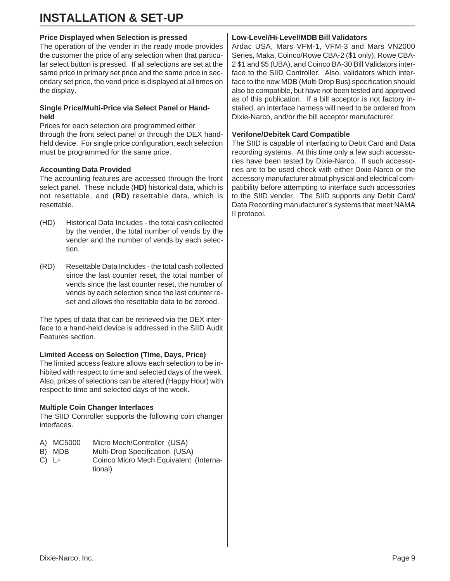### **Price Displayed when Selection is pressed**

The operation of the vender in the ready mode provides the customer the price of any selection when that particular select button is pressed. If all selections are set at the same price in primary set price and the same price in secondary set price, the vend price is displayed at all times on the display.

#### **Single Price/Multi-Price via Select Panel or Handheld**

Prices for each selection are programmed either through the front select panel or through the DEX handheld device. For single price configuration, each selection must be programmed for the same price.

### **Accounting Data Provided**

The accounting features are accessed through the front select panel. These include (**HD)** historical data, which is not resettable, and (**RD)** resettable data, which is resettable.

- (HD) Historical Data Includes the total cash collected by the vender, the total number of vends by the vender and the number of vends by each selection.
- (RD) Resettable Data Includes the total cash collected since the last counter reset, the total number of vends since the last counter reset, the number of vends by each selection since the last counter reset and allows the resettable data to be zeroed.

The types of data that can be retrieved via the DEX interface to a hand-held device is addressed in the SIID Audit Features section.

# **Limited Access on Selection (Time, Days, Price)**

The limited access feature allows each selection to be inhibited with respect to time and selected days of the week. Also, prices of selections can be altered (Happy Hour) with respect to time and selected days of the week.

# **Multiple Coin Changer Interfaces**

The SIID Controller supports the following coin changer interfaces.

- A) MC5000 Micro Mech/Controller (USA)
- B) MDB Multi-Drop Specification (USA)
- C) L+ Coinco Micro Mech Equivalent (International)

# **Low-Level/Hi-Level/MDB Bill Validators**

Ardac USA, Mars VFM-1, VFM-3 and Mars VN2000 Series, Maka, Coinco/Rowe CBA-2 (\$1 only), Rowe CBA-2 \$1 and \$5 (UBA), and Coinco BA-30 Bill Validators interface to the SIID Controller. Also, validators which interface to the new MDB (Multi Drop Bus) specification should also be compatible, but have not been tested and approved as of this publication. If a bill acceptor is not factory installed, an interface harness will need to be ordered from Dixie-Narco, and/or the bill acceptor manufacturer.

### **Verifone/Debitek Card Compatible**

The SIID is capable of interfacing to Debit Card and Data recording systems. At this time only a few such accessories have been tested by Dixie-Narco. If such accessories are to be used check with either Dixie-Narco or the accessory manufacturer about physical and electrical compatibility before attempting to interface such accessories to the SIID vender. The SIID supports any Debit Card/ Data Recording manufacturer's systems that meet NAMA II protocol.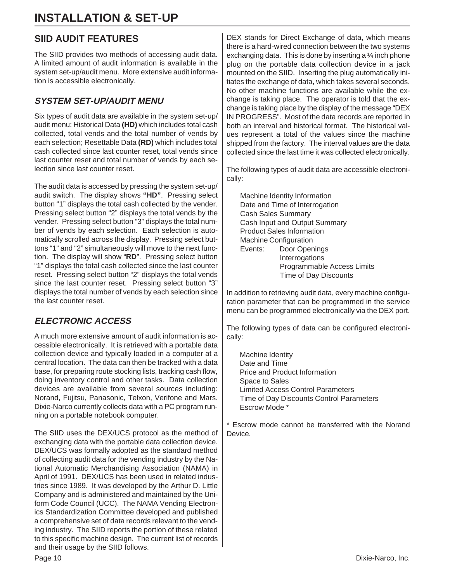# **SIID AUDIT FEATURES**

The SIID provides two methods of accessing audit data. A limited amount of audit information is available in the system set-up/audit menu. More extensive audit information is accessible electronically.

# **SYSTEM SET-UP/AUDIT MENU**

Six types of audit data are available in the system set-up/ audit menu: Historical Data **(HD)** which includes total cash collected, total vends and the total number of vends by each selection; Resettable Data **(RD)** which includes total cash collected since last counter reset, total vends since last counter reset and total number of vends by each selection since last counter reset.

The audit data is accessed by pressing the system set-up/ audit switch. The display shows **"HD"**. Pressing select button "1" displays the total cash collected by the vender. Pressing select button "2" displays the total vends by the vender. Pressing select button "3" displays the total number of vends by each selection. Each selection is automatically scrolled across the display. Pressing select buttons "1" and "2" simultaneously will move to the next function. The display will show "**RD**". Pressing select button "1" displays the total cash collected since the last counter reset. Pressing select button "2" displays the total vends since the last counter reset. Pressing select button "3" displays the total number of vends by each selection since the last counter reset.

# **ELECTRONIC ACCESS**

A much more extensive amount of audit information is accessible electronically. It is retrieved with a portable data collection device and typically loaded in a computer at a central location. The data can then be tracked with a data base, for preparing route stocking lists, tracking cash flow, doing inventory control and other tasks. Data collection devices are available from several sources including: Norand, Fujitsu, Panasonic, Telxon, Verifone and Mars. Dixie-Narco currently collects data with a PC program running on a portable notebook computer.

The SIID uses the DEX/UCS protocol as the method of exchanging data with the portable data collection device. DEX/UCS was formally adopted as the standard method of collecting audit data for the vending industry by the National Automatic Merchandising Association (NAMA) in April of 1991. DEX/UCS has been used in related industries since 1989. It was developed by the Arthur D. Little Company and is administered and maintained by the Uniform Code Council (UCC). The NAMA Vending Electronics Standardization Committee developed and published a comprehensive set of data records relevant to the vending industry. The SIID reports the portion of these related to this specific machine design. The current list of records and their usage by the SIID follows.

DEX stands for Direct Exchange of data, which means there is a hard-wired connection between the two systems exchanging data. This is done by inserting a  $\frac{1}{4}$  inch phone plug on the portable data collection device in a jack mounted on the SIID. Inserting the plug automatically initiates the exchange of data, which takes several seconds. No other machine functions are available while the exchange is taking place. The operator is told that the exchange is taking place by the display of the message "DEX IN PROGRESS". Most of the data records are reported in both an interval and historical format. The historical values represent a total of the values since the machine shipped from the factory. The interval values are the data collected since the last time it was collected electronically.

The following types of audit data are accessible electronically:

Machine Identity Information Date and Time of Interrogation Cash Sales Summary Cash Input and Output Summary Product Sales Information Machine Configuration Events: Door Openings Interrogations Programmable Access Limits Time of Day Discounts

In addition to retrieving audit data, every machine configuration parameter that can be programmed in the service menu can be programmed electronically via the DEX port.

The following types of data can be configured electronically:

Machine Identity Date and Time Price and Product Information Space to Sales Limited Access Control Parameters Time of Day Discounts Control Parameters Escrow Mode \*

\* Escrow mode cannot be transferred with the Norand Device.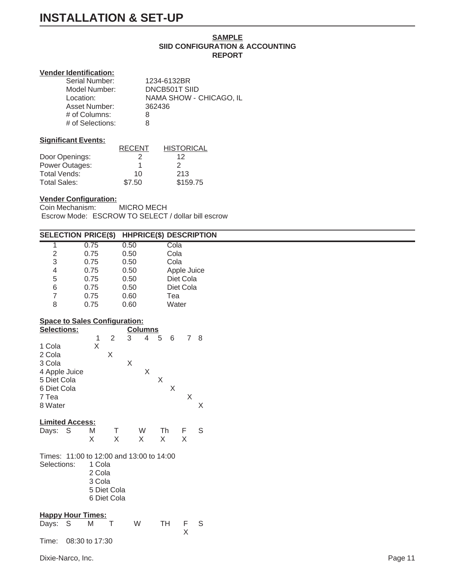#### **SAMPLE SIID CONFIGURATION & ACCOUNTING REPORT**

#### **Vender Identification:**

| Serial Number:   | 1234-6132BR             |
|------------------|-------------------------|
| Model Number:    | DNCB501T SIID           |
| Location:        | NAMA SHOW - CHICAGO, IL |
| Asset Number:    | 362436                  |
| $#$ of Columns:  | 8                       |
| # of Selections: | я                       |

#### **Significant Events:**

|                     | <b>RECENT</b> | <b>HISTORICAL</b> |
|---------------------|---------------|-------------------|
| Door Openings:      | 2             | 12                |
| Power Outages:      |               |                   |
| Total Vends:        | 10            | 213               |
| <b>Total Sales:</b> | \$7.50        | \$159.75          |

#### **Vender Configuration:**

Coin Mechanism: MICRO MECH Escrow Mode: ESCROW TO SELECT / dollar bill escrow

|                                       | <b>SELECTION PRICE(\$)</b>               |                     | <b>HHPRICE(\$) DESCRIPTION</b> |                  |
|---------------------------------------|------------------------------------------|---------------------|--------------------------------|------------------|
| 1                                     | 0.75                                     | 0.50                | Cola                           |                  |
| $\mathbf 2$                           | 0.75                                     | 0.50                | Cola                           |                  |
| 3                                     | 0.75                                     | 0.50                | Cola                           |                  |
| 4                                     | 0.75                                     | 0.50                |                                | Apple Juice      |
| $\begin{array}{c} 5 \\ 6 \end{array}$ | 0.75                                     | 0.50                | Diet Cola                      |                  |
|                                       | 0.75                                     | 0.50                | Diet Cola                      |                  |
| $\overline{7}$                        | 0.75                                     | 0.60                | Tea                            |                  |
| 8                                     | 0.75                                     | 0.60                | Water                          |                  |
|                                       | <b>Space to Sales Configuration:</b>     |                     |                                |                  |
| Selections:                           |                                          | <b>Columns</b>      |                                |                  |
|                                       | $\overline{2}$<br>$\mathbf{1}$           | 3<br>$\overline{4}$ | 5<br>6                         | 7 8              |
| 1 Cola                                | $\mathsf X$                              |                     |                                |                  |
| 2 Cola                                | X                                        |                     |                                |                  |
| 3 Cola                                |                                          | $\mathsf X$         |                                |                  |
| 4 Apple Juice                         |                                          | X                   |                                |                  |
| 5 Diet Cola                           |                                          |                     | $\mathsf X$                    |                  |
| 6 Diet Cola                           |                                          |                     | $\sf X$                        |                  |
| 7 Tea                                 |                                          |                     |                                | $\sf X$          |
| 8 Water                               |                                          |                     |                                | $\mathsf X$      |
| <b>Limited Access:</b>                |                                          |                     |                                |                  |
| Days: S                               | M                                        | W<br>Τ              | Th                             | $\mathsf S$<br>F |
|                                       | X                                        | $\mathsf X$<br>X    | X                              | X                |
|                                       |                                          |                     |                                |                  |
|                                       | Times: 11:00 to 12:00 and 13:00 to 14:00 |                     |                                |                  |
| Selections:                           | 1 Cola                                   |                     |                                |                  |
|                                       | 2 Cola                                   |                     |                                |                  |
|                                       | 3 Cola                                   |                     |                                |                  |
|                                       | 5 Diet Cola                              |                     |                                |                  |
|                                       | 6 Diet Cola                              |                     |                                |                  |
|                                       |                                          |                     |                                |                  |
| <b>Happy Hour Times:</b>              |                                          |                     |                                |                  |
| Days: S                               | M<br>$\top$                              | W                   | <b>TH</b>                      | F<br>S           |
|                                       |                                          |                     |                                | $\mathsf X$      |
| Time:                                 | 08:30 to 17:30                           |                     |                                |                  |
|                                       |                                          |                     |                                |                  |
| Dixie-Narco, Inc.                     |                                          |                     |                                |                  |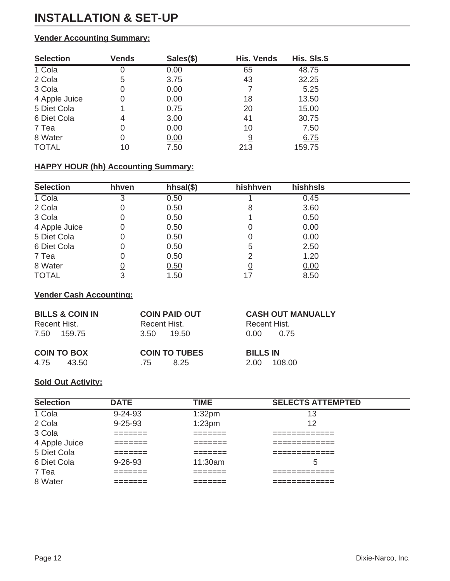# **Vender Accounting Summary:**

| <b>Selection</b> | <b>Vends</b> | Sales(\$) | <b>His. Vends</b> | His. SIs.\$ |
|------------------|--------------|-----------|-------------------|-------------|
| 1 Cola           | O            | 0.00      | 65                | 48.75       |
| 2 Cola           | 5            | 3.75      | 43                | 32.25       |
| 3 Cola           | 0            | 0.00      |                   | 5.25        |
| 4 Apple Juice    | 0            | 0.00      | 18                | 13.50       |
| 5 Diet Cola      |              | 0.75      | 20                | 15.00       |
| 6 Diet Cola      | 4            | 3.00      | 41                | 30.75       |
| 7 Tea            | 0            | 0.00      | 10                | 7.50        |
| 8 Water          | 0            | 0.00      | 9                 | 6.75        |
| <b>TOTAL</b>     | 10           | 7.50      | 213               | 159.75      |

# **HAPPY HOUR (hh) Accounting Summary:**

| <b>Selection</b> | hhven | $hhsal(\$)$ | hishhven | hishhsls |  |
|------------------|-------|-------------|----------|----------|--|
| 1 Cola           |       | 0.50        |          | 0.45     |  |
| 2 Cola           |       | 0.50        | 8        | 3.60     |  |
| 3 Cola           | 0     | 0.50        |          | 0.50     |  |
| 4 Apple Juice    | 0     | 0.50        |          | 0.00     |  |
| 5 Diet Cola      | 0     | 0.50        |          | 0.00     |  |
| 6 Diet Cola      | Ω     | 0.50        | 5        | 2.50     |  |
| 7 Tea            |       | 0.50        | 2        | 1.20     |  |
| 8 Water          |       | 0.50        | <u>0</u> | 0.00     |  |
| <b>TOTAL</b>     | 3     | 1.50        | 17       | 8.50     |  |

### **Vender Cash Accounting:**

| <b>BILLS &amp; COIN IN</b><br>Recent Hist.<br>7.50 159.75 | <b>COIN PAID OUT</b><br>Recent Hist.<br>19.50<br>3.50 | <b>CASH OUT MANUALLY</b><br>Recent Hist.<br>0.00<br>0.75 |
|-----------------------------------------------------------|-------------------------------------------------------|----------------------------------------------------------|
| <b>COIN TO BOX</b>                                        | <b>COIN TO TUBES</b>                                  | <b>BILLS IN</b>                                          |
| 4.75                                                      | 8.25                                                  | 108.00                                                   |
| 43.50                                                     | .75                                                   | 2.00                                                     |

### **Sold Out Activity:**

| <b>Selection</b> | <b>DATE</b>       | <b>TIME</b>         | <b>SELECTS ATTEMPTED</b>        |
|------------------|-------------------|---------------------|---------------------------------|
| 1 Cola           | $9 - 24 - 93$     | 1:32 <sub>pm</sub>  | 13                              |
| 2 Cola           | $9 - 25 - 93$     | 1:23 <sub>pm</sub>  | 12                              |
| 3 Cola           |                   | --------<br>_______ | _________<br>__________         |
| 4 Apple Juice    |                   | ------<br>_______   | ___________<br>------------     |
| 5 Diet Cola      | ------<br>_______ | --------<br>_______ | --------------<br>_____________ |
| 6 Diet Cola      | $9 - 26 - 93$     | 11:30am             | 5                               |
| 7 Tea            | ______            | --------<br>_______ | ---------<br>_____________      |
| 8 Water          | _______           | ________<br>_______ | _________<br>_____________      |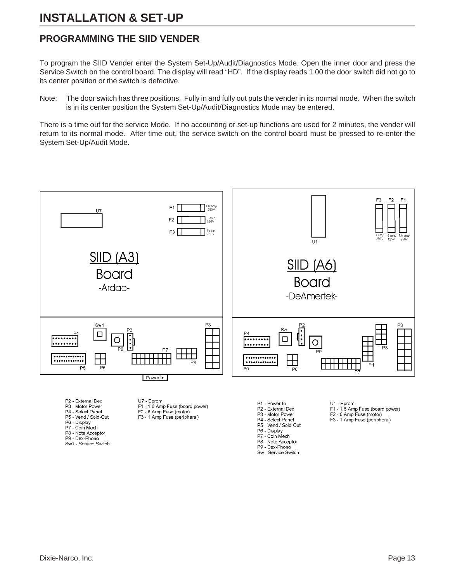# **PROGRAMMING THE SIID VENDER**

To program the SIID Vender enter the System Set-Up/Audit/Diagnostics Mode. Open the inner door and press the Service Switch on the control board. The display will read "HD". If the display reads 1.00 the door switch did not go to its center position or the switch is defective.

Note: The door switch has three positions. Fully in and fully out puts the vender in its normal mode. When the switch is in its center position the System Set-Up/Audit/Diagnostics Mode may be entered.

There is a time out for the service Mode. If no accounting or set-up functions are used for 2 minutes, the vender will return to its normal mode. After time out, the service switch on the control board must be pressed to re-enter the System Set-Up/Audit Mode.



- P9 Dex-Phono
- Sw1 Service Switch

P7 - Coin Mech P8 - Note Acceptor

P9 - Dex-Phono Sw - Service Switch

Dixie-Narco, Inc. Page 13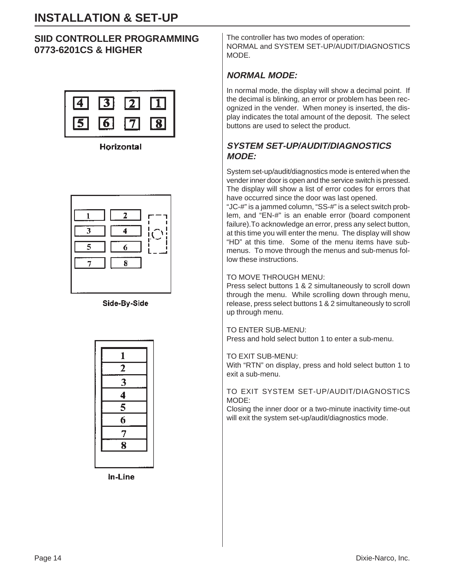# **SIID CONTROLLER PROGRAMMING 0773-6201CS & HIGHER**



**Horizontal** 



Side-By-Side

| $\mathbf{1}$            |  |
|-------------------------|--|
| $\overline{2}$          |  |
| $\overline{\mathbf{3}}$ |  |
| $\frac{4}{5}$           |  |
|                         |  |
|                         |  |
| 7                       |  |
| $\overline{\mathbf 8}$  |  |
|                         |  |

In-Line

The controller has two modes of operation: NORMAL and SYSTEM SET-UP/AUDIT/DIAGNOSTICS **MODE** 

# **NORMAL MODE:**

In normal mode, the display will show a decimal point. If the decimal is blinking, an error or problem has been recognized in the vender. When money is inserted, the display indicates the total amount of the deposit. The select buttons are used to select the product.

# **SYSTEM SET-UP/AUDIT/DIAGNOSTICS MODE:**

System set-up/audit/diagnostics mode is entered when the vender inner door is open and the service switch is pressed. The display will show a list of error codes for errors that have occurred since the door was last opened.

"JC-#" is a jammed column, "SS-#" is a select switch problem, and "EN-#" is an enable error (board component failure).To acknowledge an error, press any select button, at this time you will enter the menu. The display will show "HD" at this time. Some of the menu items have submenus.To move through the menus and sub-menus follow these instructions.

### TO MOVE THROUGH MENU:

Press select buttons 1 & 2 simultaneously to scroll down through the menu. While scrolling down through menu, release, press select buttons 1 & 2 simultaneously to scroll up through menu.

TO ENTER SUB-MENU: Press and hold select button 1 to enter a sub-menu.

#### TO EXIT SUB-MENU:

With "RTN" on display, press and hold select button 1 to exit a sub-menu.

#### TO EXIT SYSTEM SET-UP/AUDIT/DIAGNOSTICS MODE:

Closing the inner door or a two-minute inactivity time-out will exit the system set-up/audit/diagnostics mode.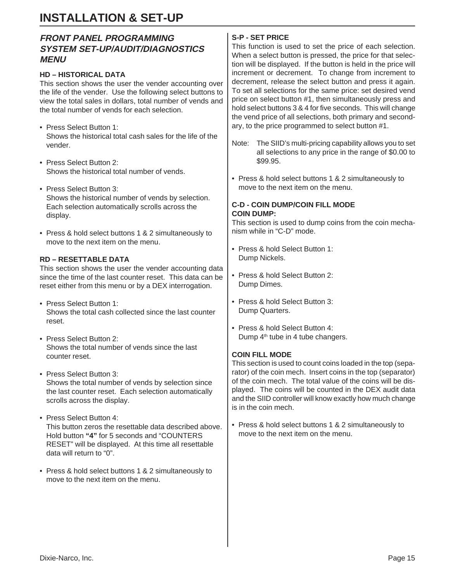# **FRONT PANEL PROGRAMMING SYSTEM SET-UP/AUDIT/DIAGNOSTICS MENU**

### **HD – HISTORICAL DATA**

This section shows the user the vender accounting over the life of the vender. Use the following select buttons to view the total sales in dollars, total number of vends and the total number of vends for each selection.

- Press Select Button 1: Shows the historical total cash sales for the life of the vender.
- Press Select Button 2: Shows the historical total number of vends.
- Press Select Button 3: Shows the historical number of vends by selection. Each selection automatically scrolls across the display.
- Press & hold select buttons 1 & 2 simultaneously to move to the next item on the menu.

### **RD – RESETTABLE DATA**

This section shows the user the vender accounting data since the time of the last counter reset. This data can be reset either from this menu or by a DEX interrogation.

- Press Select Button 1: Shows the total cash collected since the last counter reset.
- Press Select Button 2: Shows the total number of vends since the last counter reset.
- Press Select Button 3: Shows the total number of vends by selection since the last counter reset. Each selection automatically scrolls across the display.
- Press Select Button 4: This button zeros the resettable data described above. Hold button **"4"** for 5 seconds and "COUNTERS RESET" will be displayed. At this time all resettable data will return to "0".
- Press & hold select buttons 1 & 2 simultaneously to move to the next item on the menu.

# **S-P - SET PRICE**

This function is used to set the price of each selection. When a select button is pressed, the price for that selection will be displayed. If the button is held in the price will increment or decrement. To change from increment to decrement, release the select button and press it again. To set all selections for the same price: set desired vend price on select button #1, then simultaneously press and hold select buttons 3 & 4 for five seconds. This will change the vend price of all selections, both primary and secondary, to the price programmed to select button #1.

- Note: The SIID's multi-pricing capability allows you to set all selections to any price in the range of \$0.00 to \$99.95.
- Press & hold select buttons 1 & 2 simultaneously to move to the next item on the menu.

### **C-D - COIN DUMP/COIN FILL MODE COIN DUMP:**

This section is used to dump coins from the coin mechanism while in "C-D" mode.

- Press & hold Select Button 1: Dump Nickels.
- Press & hold Select Button 2: Dump Dimes.
- Press & hold Select Button 3: Dump Quarters.
- Press & hold Select Button 4: Dump 4<sup>th</sup> tube in 4 tube changers.

#### **COIN FILL MODE**

This section is used to count coins loaded in the top (separator) of the coin mech. Insert coins in the top (separator) of the coin mech. The total value of the coins will be displayed. The coins will be counted in the DEX audit data and the SIID controller will know exactly how much change is in the coin mech.

• Press & hold select buttons 1 & 2 simultaneously to move to the next item on the menu.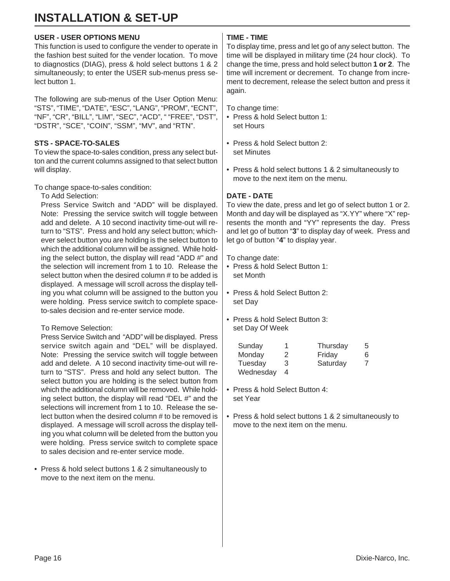#### **USER - USER OPTIONS MENU**

This function is used to configure the vender to operate in the fashion best suited for the vender location. To move to diagnostics (DIAG), press & hold select buttons 1 & 2 simultaneously; to enter the USER sub-menus press select button 1.

The following are sub-menus of the User Option Menu: "STS", "TIME", "DATE", "ESC", "LANG", "PROM", "ECNT", "NF", "CR", "BILL", "LIM", "SEC", "ACD", " "FREE", "DST", "DSTR", "SCE", "COIN", "SSM", "MV", and "RTN".

#### **STS - SPACE-TO-SALES**

To view the space-to-sales condition, press any select button and the current columns assigned to that select button will display.

To change space-to-sales condition:

To Add Selection:

Press Service Switch and "ADD" will be displayed. Note: Pressing the service switch will toggle between add and delete. A 10 second inactivity time-out will return to "STS". Press and hold any select button; whichever select button you are holding is the select button to which the additional column will be assigned. While holding the select button, the display will read "ADD #" and the selection will increment from 1 to 10. Release the select button when the desired column # to be added is displayed. A message will scroll across the display telling you what column will be assigned to the button you were holding. Press service switch to complete spaceto-sales decision and re-enter service mode.

#### To Remove Selection:

Press Service Switch and "ADD" will be displayed. Press service switch again and "DEL" will be displayed. Note: Pressing the service switch will toggle between add and delete. A 10 second inactivity time-out will return to "STS". Press and hold any select button. The select button you are holding is the select button from which the additional column will be removed. While holding select button, the display will read "DEL #" and the selections will increment from 1 to 10. Release the select button when the desired column # to be removed is displayed. A message will scroll across the display telling you what column will be deleted from the button you were holding. Press service switch to complete space to sales decision and re-enter service mode.

• Press & hold select buttons 1 & 2 simultaneously to move to the next item on the menu.

#### **TIME - TIME**

To display time, press and let go of any select button. The time will be displayed in military time (24 hour clock). To change the time, press and hold select button **1 or 2**. The time will increment or decrement. To change from increment to decrement, release the select button and press it again.

To change time:

- Press & hold Select button 1: set Hours
- Press & hold Select button 2: set Minutes
- Press & hold select buttons 1 & 2 simultaneously to move to the next item on the menu.

#### **DATE - DATE**

To view the date, press and let go of select button 1 or 2. Month and day will be displayed as "X.YY" where "X" represents the month and "YY" represents the day. Press and let go of button "**3**" to display day of week. Press and let go of button "**4**" to display year.

To change date:

- Press & hold Select Button 1: set Month
- Press & hold Select Button 2: set Day
- Press & hold Select Button 3: set Day Of Week

| Sunday    | 1 | Thursday | 5 |
|-----------|---|----------|---|
| Monday    | 2 | Friday   | 6 |
| Tuesday   | 3 | Saturday |   |
| Wednesday | 4 |          |   |

- Press & hold Select Button 4: set Year
- Press & hold select buttons 1 & 2 simultaneously to move to the next item on the menu.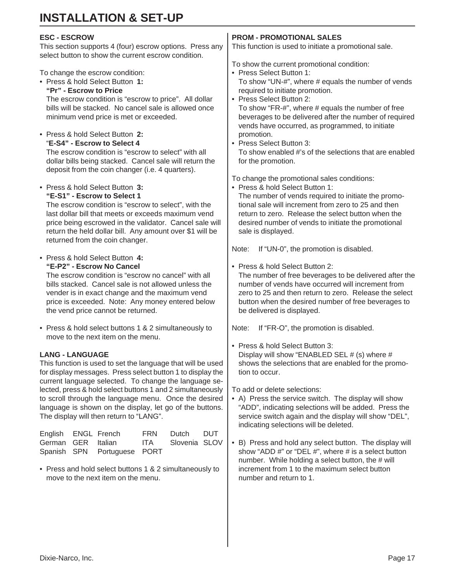### **ESC - ESCROW** This section supports 4 (four) escrow options. Press any select button to show the current escrow condition. To change the escrow condition: • Press & hold Select Button **1: "Pr" - Escrow to Price** The escrow condition is "escrow to price". All dollar bills will be stacked. No cancel sale is allowed once minimum vend price is met or exceeded. • Press & hold Select Button **2:** "**E-S4" - Escrow to Select 4** The escrow condition is "escrow to select" with all dollar bills being stacked. Cancel sale will return the

• Press & hold Select Button **3:**

deposit from the coin changer (i.e. 4 quarters).

**"E-S1" - Escrow to Select 1** The escrow condition is "escrow to select", with the last dollar bill that meets or exceeds maximum vend price being escrowed in the validator. Cancel sale will return the held dollar bill. Any amount over \$1 will be returned from the coin changer.

• Press & hold Select Button **4: "E-P2" - Escrow No Cancel**

The escrow condition is "escrow no cancel" with all bills stacked. Cancel sale is not allowed unless the vender is in exact change and the maximum vend price is exceeded. Note: Any money entered below the vend price cannot be returned.

• Press & hold select buttons 1 & 2 simultaneously to move to the next item on the menu.

### **LANG - LANGUAGE**

This function is used to set the language that will be used for display messages. Press select button 1 to display the current language selected. To change the language selected, press & hold select buttons 1 and 2 simultaneously to scroll through the language menu. Once the desired language is shown on the display, let go of the buttons. The display will then return to "LANG".

| English ENGL French |                             | <b>FRN</b> | Dutch DUT         |  |
|---------------------|-----------------------------|------------|-------------------|--|
|                     | German GER Italian          |            | ITA Slovenia SLOV |  |
|                     | Spanish SPN Portuguese PORT |            |                   |  |

• Press and hold select buttons 1 & 2 simultaneously to move to the next item on the menu.

# **PROM - PROMOTIONAL SALES**

This function is used to initiate a promotional sale.

To show the current promotional condition:

- Press Select Button 1: To show "UN-#", where # equals the number of vends required to initiate promotion.
- Press Select Button 2:
- To show "FR-#", where # equals the number of free beverages to be delivered after the number of required vends have occurred, as programmed, to initiate promotion.
- Press Select Button 3: To show enabled #'s of the selections that are enabled for the promotion.

To change the promotional sales conditions:

• Press & hold Select Button 1: The number of vends required to initiate the promotional sale will increment from zero to 25 and then return to zero. Release the select button when the desired number of vends to initiate the promotional sale is displayed.

Note: If "UN-0", the promotion is disabled.

• Press & hold Select Button 2:

The number of free beverages to be delivered after the number of vends have occurred will increment from zero to 25 and then return to zero. Release the select button when the desired number of free beverages to be delivered is displayed.

Note: If "FR-O", the promotion is disabled.

• Press & hold Select Button 3: Display will show "ENABLED SEL # (s) where # shows the selections that are enabled for the promotion to occur.

To add or delete selections:

- A) Press the service switch. The display will show "ADD", indicating selections will be added. Press the service switch again and the display will show "DEL", indicating selections will be deleted.
- B) Press and hold any select button. The display will show "ADD #" or "DEL #", where # is a select button number. While holding a select button, the  $#$  will increment from 1 to the maximum select button number and return to 1.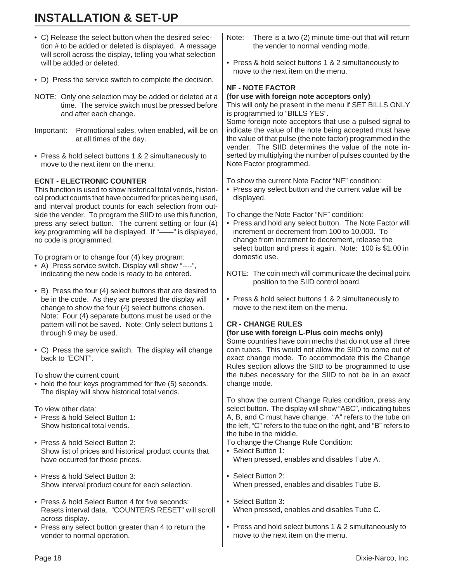- C) Release the select button when the desired selection # to be added or deleted is displayed. A message will scroll across the display, telling you what selection will be added or deleted. • D) Press the service switch to complete the decision. NOTE: Only one selection may be added or deleted at a time. The service switch must be pressed before and after each change. Important: Promotional sales, when enabled, will be on at all times of the day. • Press & hold select buttons 1 & 2 simultaneously to move to the next item on the menu. **ECNT - ELECTRONIC COUNTER** This function is used to show historical total vends, historical product counts that have occurred for prices being used, and interval product counts for each selection from outside the vender. To program the SIID to use this function, press any select button. The current setting or four (4) key programming will be displayed. If "——" is displayed, no code is programmed. To program or to change four (4) key program: • A) Press service switch. Display will show "----", indicating the new code is ready to be entered. • B) Press the four (4) select buttons that are desired to be in the code. As they are pressed the display will change to show the four (4) select buttons chosen. Note: Four (4) separate buttons must be used or the pattern will not be saved. Note: Only select buttons 1 through 9 may be used. • C) Press the service switch. The display will change back to "ECNT". To show the current count • hold the four keys programmed for five (5) seconds. The display will show historical total vends. To view other data: • Press & hold Select Button 1: Show historical total vends. • Press & hold Select Button 2: Show list of prices and historical product counts that have occurred for those prices. • Press & hold Select Button 3: Show interval product count for each selection. • Press & hold Select Button 4 for five seconds: Resets interval data. "COUNTERS RESET" will scroll across display. Note: There is a two (2) minute time-out that will return the vender to normal vending mode. • Press & hold select buttons 1 & 2 simultaneously to move to the next item on the menu. **NF - NOTE FACTOR (for use with foreign note acceptors only)** This will only be present in the menu if SET BILLS ONLY is programmed to "BILLS YES". Some foreign note acceptors that use a pulsed signal to indicate the value of the note being accepted must have the value of that pulse (the note factor) programmed in the vender. The SIID determines the value of the note inserted by multiplying the number of pulses counted by the Note Factor programmed. To show the current Note Factor "NF" condition: • Press any select button and the current value will be displayed. To change the Note Factor "NF" condition: • Press and hold any select button. The Note Factor will increment or decrement from 100 to 10,000. To change from increment to decrement, release the select button and press it again. Note: 100 is \$1.00 in domestic use. NOTE: The coin mech will communicate the decimal point position to the SIID control board. • Press & hold select buttons 1 & 2 simultaneously to move to the next item on the menu. **CR - CHANGE RULES (for use with foreign L-Plus coin mechs only)** Some countries have coin mechs that do not use all three coin tubes. This would not allow the SIID to come out of exact change mode. To accommodate this the Change Rules section allows the SIID to be programmed to use the tubes necessary for the SIID to not be in an exact change mode. To show the current Change Rules condition, press any select button. The display will show "ABC", indicating tubes A, B, and C must have change. "A" refers to the tube on the left, "C" refers to the tube on the right, and "B" refers to the tube in the middle. To change the Change Rule Condition: • Select Button 1: When pressed, enables and disables Tube A. • Select Button 2: When pressed, enables and disables Tube B. • Select Button 3: When pressed, enables and disables Tube C. • Press and hold select buttons 1 & 2 simultaneously to
- Press any select button greater than 4 to return the vender to normal operation.

move to the next item on the menu.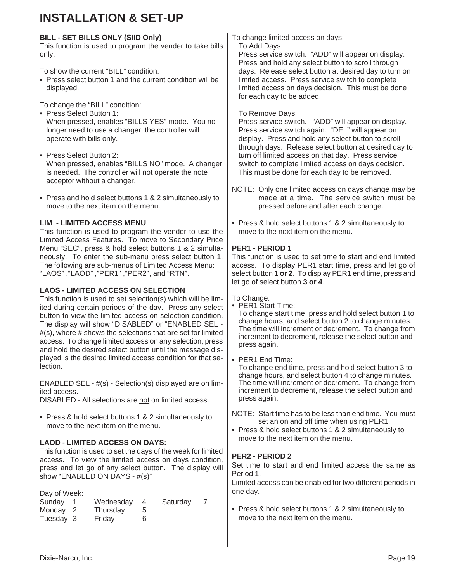#### **BILL - SET BILLS ONLY (SIID Only)**

This function is used to program the vender to take bills only.

To show the current "BILL" condition:

• Press select button 1 and the current condition will be displayed.

To change the "BILL" condition:

- Press Select Button 1: When pressed, enables "BILLS YES" mode. You no longer need to use a changer; the controller will operate with bills only.
- Press Select Button 2: When pressed, enables "BILLS NO" mode. A changer is needed. The controller will not operate the note acceptor without a changer.
- Press and hold select buttons 1 & 2 simultaneously to move to the next item on the menu.

#### **LIM - LIMITED ACCESS MENU**

This function is used to program the vender to use the Limited Access Features. To move to Secondary Price Menu "SEC", press & hold select buttons 1 & 2 simultaneously. To enter the sub-menu press select button 1. The following are sub-menus of Limited Access Menu: "LAOS" ,"LAOD" ,"PER1" ,"PER2", and "RTN".

#### **LAOS - LIMITED ACCESS ON SELECTION**

This function is used to set selection(s) which will be limited during certain periods of the day. Press any select button to view the limited access on selection condition. The display will show "DISABLED" or "ENABLED SEL - #(s), where # shows the selections that are set for limited access. To change limited access on any selection, press and hold the desired select button until the message displayed is the desired limited access condition for that selection.

ENABLED SEL - #(s) - Selection(s) displayed are on limited access.

DISABLED - All selections are not on limited access.

• Press & hold select buttons 1 & 2 simultaneously to move to the next item on the menu.

#### **LAOD - LIMITED ACCESS ON DAYS:**

This function is used to set the days of the week for limited access. To view the limited access on days condition, press and let go of any select button. The display will show "ENABLED ON DAYS - #(s)"

| Day of Week: |           |   |          |  |
|--------------|-----------|---|----------|--|
| Sunday       | Wednesday |   | Saturday |  |
| Monday 2     | Thursday  |   |          |  |
| Tuesday 3    | Friday    | 6 |          |  |

To change limited access on days: To Add Days:

Press service switch. "ADD" will appear on display. Press and hold any select button to scroll through days. Release select button at desired day to turn on limited access. Press service switch to complete limited access on days decision. This must be done for each day to be added.

#### To Remove Days:

Press service switch. "ADD" will appear on display. Press service switch again. "DEL" will appear on display. Press and hold any select button to scroll through days. Release select button at desired day to turn off limited access on that day. Press service switch to complete limited access on days decision. This must be done for each day to be removed.

- NOTE: Only one limited access on days change may be made at a time. The service switch must be pressed before and after each change.
- Press & hold select buttons 1 & 2 simultaneously to move to the next item on the menu.

#### **PER1 - PERIOD 1**

This function is used to set time to start and end limited access. To display PER1 start time, press and let go of select button **1 or 2**. To display PER1 end time, press and let go of select button **3 or 4**.

To Change:

• PER1 Start Time:

To change start time, press and hold select button 1 to change hours, and select button 2 to change minutes. The time will increment or decrement. To change from increment to decrement, release the select button and press again.

• PER1 End Time:

To change end time, press and hold select button 3 to change hours, and select button 4 to change minutes. The time will increment or decrement. To change from increment to decrement, release the select button and press again.

- NOTE: Start time has to be less than end time. You must set an on and off time when using PER1.
- Press & hold select buttons 1 & 2 simultaneously to move to the next item on the menu.

#### **PER2 - PERIOD 2**

Set time to start and end limited access the same as Period 1.

Limited access can be enabled for two different periods in one day.

• Press & hold select buttons 1 & 2 simultaneously to move to the next item on the menu.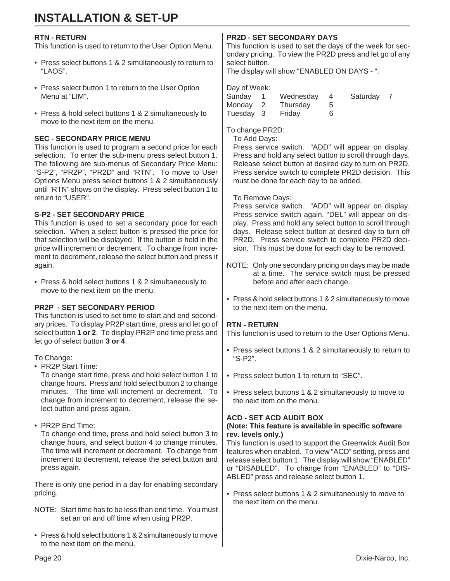#### **RTN - RETURN**

This function is used to return to the User Option Menu.

- Press select buttons 1 & 2 simultaneously to return to "LAOS".
- Press select button 1 to return to the User Option Menu at "LIM".
- Press & hold select buttons 1 & 2 simultaneously to move to the next item on the menu.

#### **SEC - SECONDARY PRICE MENU**

This function is used to program a second price for each selection. To enter the sub-menu press select button 1. The following are sub-menus of Secondary Price Menu: "S-P2", "PR2P", "PR2D" and "RTN". To move to User Options Menu press select buttons 1 & 2 simultaneously until "RTN" shows on the display. Press select button 1 to return to "USER".

#### **S-P2 - SET SECONDARY PRICE**

This function is used to set a secondary price for each selection. When a select button is pressed the price for that selection will be displayed. If the button is held in the price will increment or decrement. To change from increment to decrement, release the select button and press it again.

• Press & hold select buttons 1 & 2 simultaneously to move to the next item on the menu.

#### **PR2P - SET SECONDARY PERIOD**

This function is used to set time to start and end secondary prices. To display PR2P start time, press and let go of select button **1 or 2**. To display PR2P end time press and let go of select button **3 or 4**.

To Change:

• PR2P Start Time:

To change start time, press and hold select button 1 to change hours. Press and hold select button 2 to change minutes. The time will increment or decrement. To change from increment to decrement, release the select button and press again.

• PR2P End Time:

To change end time, press and hold select button 3 to change hours, and select button 4 to change minutes. The time will increment or decrement. To change from increment to decrement, release the select button and press again.

There is only one period in a day for enabling secondary pricing.

- NOTE: Start time has to be less than end time. You must set an on and off time when using PR2P.
- Press & hold select buttons 1 & 2 simultaneously to move to the next item on the menu.

### **PR2D - SET SECONDARY DAYS**

This function is used to set the days of the week for secondary pricing. To view the PR2D press and let go of any select button.

The display will show "ENABLED ON DAYS - ".

| Day of Week: |           |   |          |  |
|--------------|-----------|---|----------|--|
| Sunday       | Wednesday |   | Saturday |  |
| Monday       | Thursday  |   |          |  |
| Tuesday 3    | Friday    | 6 |          |  |

To change PR2D:

To Add Days:

Press service switch. "ADD" will appear on display. Press and hold any select button to scroll through days. Release select button at desired day to turn on PR2D. Press service switch to complete PR2D decision. This must be done for each day to be added.

#### To Remove Days:

Press service switch. "ADD" will appear on display. Press service switch again. "DEL" will appear on display. Press and hold any select button to scroll through days. Release select button at desired day to turn off PR2D. Press service switch to complete PR2D decision. This must be done for each day to be removed.

- NOTE: Only one secondary pricing on days may be made at a time. The service switch must be pressed before and after each change.
- Press & hold select buttons 1 & 2 simultaneously to move to the next item on the menu.

#### **RTN - RETURN**

This function is used to return to the User Options Menu.

- Press select buttons 1 & 2 simultaneously to return to "S-P2".
- Press select button 1 to return to "SEC".
- Press select buttons 1 & 2 simultaneously to move to the next item on the menu.

#### **ACD - SET ACD AUDIT BOX**

#### **(Note: This feature is available in specific software rev. levels only.)**

This function is used to support the Greenwick Audit Box features when enabled. To view "ACD" setting, press and release select button 1. The display will show "ENABLED" or "DISABLED". To change from "ENABLED" to "DIS-ABLED" press and release select button 1.

• Press select buttons 1 & 2 simultaneously to move to the next item on the menu.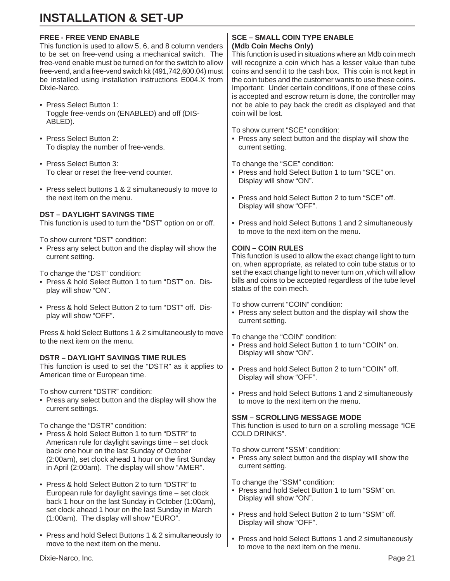#### **FREE - FREE VEND ENABLE**

This function is used to allow 5, 6, and 8 column venders to be set on free-vend using a mechanical switch. The free-vend enable must be turned on for the switch to allow free-vend, and a free-vend switch kit (491,742,600.04) must be installed using installation instructions E004.X from Dixie-Narco.

- Press Select Button 1: Toggle free-vends on (ENABLED) and off (DIS-ABLED).
- Press Select Button 2: To display the number of free-vends.
- Press Select Button 3: To clear or reset the free-vend counter.
- Press select buttons 1 & 2 simultaneously to move to the next item on the menu.

#### **DST – DAYLIGHT SAVINGS TIME**

This function is used to turn the "DST" option on or off.

To show current "DST" condition:

• Press any select button and the display will show the current setting.

To change the "DST" condition:

- Press & hold Select Button 1 to turn "DST" on. Display will show "ON".
- Press & hold Select Button 2 to turn "DST" off. Display will show "OFF".

Press & hold Select Buttons 1 & 2 simultaneously to move to the next item on the menu.

#### **DSTR – DAYLIGHT SAVINGS TIME RULES**

This function is used to set the "DSTR" as it applies to American time or European time.

To show current "DSTR" condition:

• Press any select button and the display will show the current settings.

To change the "DSTR" condition:

- Press & hold Select Button 1 to turn "DSTR" to American rule for daylight savings time – set clock back one hour on the last Sunday of October (2:00am), set clock ahead 1 hour on the first Sunday in April (2:00am). The display will show "AMER".
- Press & hold Select Button 2 to turn "DSTR" to European rule for daylight savings time – set clock back 1 hour on the last Sunday in October (1:00am), set clock ahead 1 hour on the last Sunday in March (1:00am). The display will show "EURO".
- Press and hold Select Buttons 1 & 2 simultaneously to move to the next item on the menu.

#### **SCE – SMALL COIN TYPE ENABLE (Mdb Coin Mechs Only)**

This function is used in situations where an Mdb coin mech will recognize a coin which has a lesser value than tube coins and send it to the cash box. This coin is not kept in the coin tubes and the customer wants to use these coins. Important: Under certain conditions, if one of these coins is accepted and escrow return is done, the controller may not be able to pay back the credit as displayed and that coin will be lost.

To show current "SCE" condition:

• Press any select button and the display will show the current setting.

To change the "SCE" condition:

- Press and hold Select Button 1 to turn "SCE" on. Display will show "ON".
- Press and hold Select Button 2 to turn "SCE" off. Display will show "OFF".
- Press and hold Select Buttons 1 and 2 simultaneously to move to the next item on the menu.

#### **COIN – COIN RULES**

This function is used to allow the exact change light to turn on, when appropriate, as related to coin tube status or to set the exact change light to never turn on ,which will allow bills and coins to be accepted regardless of the tube level status of the coin mech.

To show current "COIN" condition:

• Press any select button and the display will show the current setting.

To change the "COIN" condition:

- Press and hold Select Button 1 to turn "COIN" on. Display will show "ON".
- Press and hold Select Button 2 to turn "COIN" off. Display will show "OFF".
- Press and hold Select Buttons 1 and 2 simultaneously to move to the next item on the menu.

#### **SSM – SCROLLING MESSAGE MODE**

This function is used to turn on a scrolling message "ICE COLD DRINKS".

To show current "SSM" condition:

• Press any select button and the display will show the current setting.

To change the "SSM" condition:

- Press and hold Select Button 1 to turn "SSM" on. Display will show "ON".
- Press and hold Select Button 2 to turn "SSM" off. Display will show "OFF".
- Press and hold Select Buttons 1 and 2 simultaneously to move to the next item on the menu.

Dixie-Narco, Inc. Page 21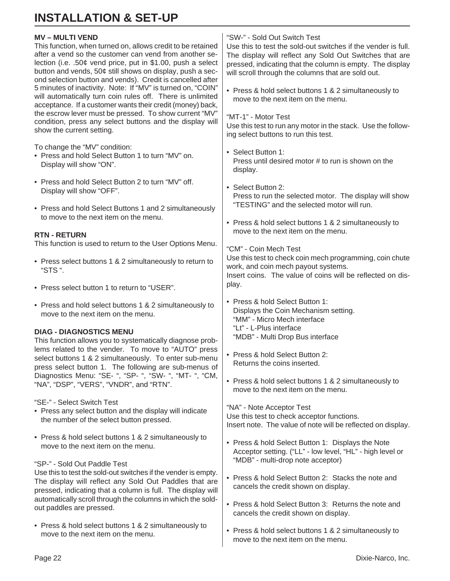#### **MV – MULTI VEND**

This function, when turned on, allows credit to be retained after a vend so the customer can vend from another selection (i.e. .50¢ vend price, put in \$1.00, push a select button and vends, 50¢ still shows on display, push a second selection button and vends). Credit is cancelled after 5 minutes of inactivity. Note: If "MV" is turned on, "COIN" will automatically turn coin rules off. There is unlimited acceptance. If a customer wants their credit (money) back, the escrow lever must be pressed. To show current "MV" condition, press any select buttons and the display will show the current setting.

To change the "MV" condition:

- Press and hold Select Button 1 to turn "MV" on. Display will show "ON".
- Press and hold Select Button 2 to turn "MV" off. Display will show "OFF".
- Press and hold Select Buttons 1 and 2 simultaneously to move to the next item on the menu.

#### **RTN - RETURN**

This function is used to return to the User Options Menu.

- Press select buttons 1 & 2 simultaneously to return to "STS ".
- Press select button 1 to return to "USER".
- Press and hold select buttons 1 & 2 simultaneously to move to the next item on the menu.

#### **DIAG - DIAGNOSTICS MENU**

This function allows you to systematically diagnose problems related to the vender. To move to "AUTO" press select buttons 1 & 2 simultaneously. To enter sub-menu press select button 1. The following are sub-menus of Diagnostics Menu: "SE- ", "SP- ", "SW- ", "MT- ", "CM, "NA", "DSP", "VERS", "VNDR", and "RTN".

"SE-" - Select Switch Test

- Press any select button and the display will indicate the number of the select button pressed.
- Press & hold select buttons 1 & 2 simultaneously to move to the next item on the menu.

"SP-" - Sold Out Paddle Test

Use this to test the sold-out switches if the vender is empty. The display will reflect any Sold Out Paddles that are pressed, indicating that a column is full. The display will automatically scroll through the columns in which the soldout paddles are pressed.

• Press & hold select buttons 1 & 2 simultaneously to move to the next item on the menu.

#### "SW-" - Sold Out Switch Test

Use this to test the sold-out switches if the vender is full. The display will reflect any Sold Out Switches that are pressed, indicating that the column is empty. The display will scroll through the columns that are sold out.

- Press & hold select buttons 1 & 2 simultaneously to move to the next item on the menu.
- "MT-1" Motor Test

Use this test to run any motor in the stack. Use the following select buttons to run this test.

- Select Button 1: Press until desired motor # to run is shown on the display.
- Select Button 2: Press to run the selected motor. The display will show "TESTING" and the selected motor will run.
- Press & hold select buttons 1 & 2 simultaneously to move to the next item on the menu.

"CM" - Coin Mech Test Use this test to check coin mech programming, coin chute work, and coin mech payout systems. Insert coins. The value of coins will be reflected on display.

- Press & hold Select Button 1: Displays the Coin Mechanism setting. "MM" - Micro Mech interface "Lt" - L-Plus interface "MDB" - Multi Drop Bus interface
- Press & hold Select Button 2: Returns the coins inserted.
- Press & hold select buttons 1 & 2 simultaneously to move to the next item on the menu.

"NA" - Note Acceptor Test Use this test to check acceptor functions. Insert note. The value of note will be reflected on display.

- Press & hold Select Button 1: Displays the Note Acceptor setting. ("LL" - low level, "HL" - high level or "MDB" - multi-drop note acceptor)
- Press & hold Select Button 2: Stacks the note and cancels the credit shown on display.
- Press & hold Select Button 3: Returns the note and cancels the credit shown on display.
- Press & hold select buttons 1 & 2 simultaneously to move to the next item on the menu.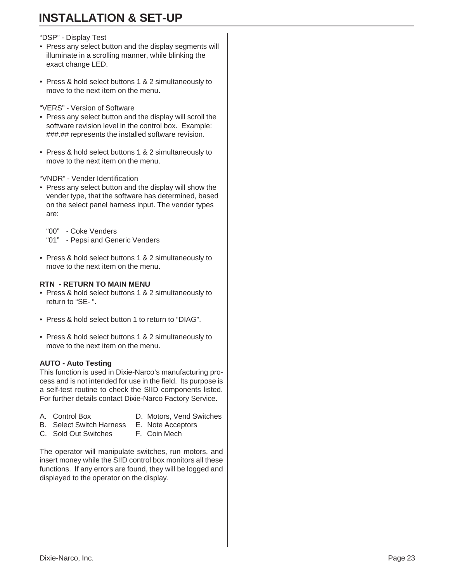#### "DSP" - Display Test

- Press any select button and the display segments will illuminate in a scrolling manner, while blinking the exact change LED.
- Press & hold select buttons 1 & 2 simultaneously to move to the next item on the menu.

"VERS" - Version of Software

- Press any select button and the display will scroll the software revision level in the control box. Example: ###.## represents the installed software revision.
- Press & hold select buttons 1 & 2 simultaneously to move to the next item on the menu.

"VNDR" - Vender Identification

• Press any select button and the display will show the vender type, that the software has determined, based on the select panel harness input. The vender types are:

"00" - Coke Venders "01" - Pepsi and Generic Venders

• Press & hold select buttons 1 & 2 simultaneously to move to the next item on the menu.

### **RTN - RETURN TO MAIN MENU**

- Press & hold select buttons 1 & 2 simultaneously to return to "SE- ".
- Press & hold select button 1 to return to "DIAG".
- Press & hold select buttons 1 & 2 simultaneously to move to the next item on the menu.

#### **AUTO - Auto Testing**

This function is used in Dixie-Narco's manufacturing process and is not intended for use in the field. Its purpose is a self-test routine to check the SIID components listed. For further details contact Dixie-Narco Factory Service.

- 
- A. Control Box D. Motors, Vend Switches
- B. Select Switch Harness E. Note Acceptors
	-
- C. Sold Out Switches F. Coin Mech
	-

The operator will manipulate switches, run motors, and insert money while the SIID control box monitors all these functions. If any errors are found, they will be logged and displayed to the operator on the display.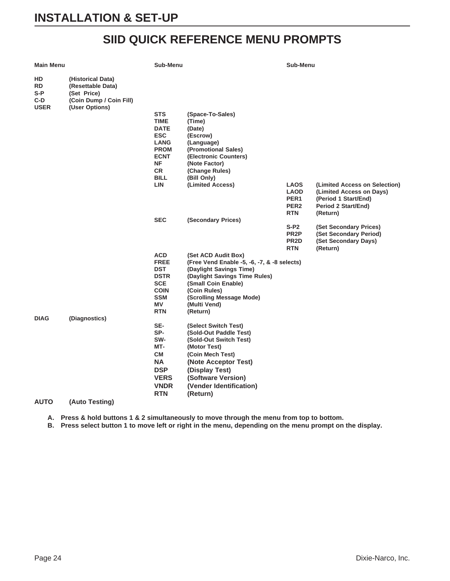# **SIID QUICK REFERENCE MENU PROMPTS**

| Main Menu                       |                                                                                                    | Sub-Menu                                                                                                  |                                                                                                                                 | Sub-Menu                                                                         |                                                                                                                      |
|---------------------------------|----------------------------------------------------------------------------------------------------|-----------------------------------------------------------------------------------------------------------|---------------------------------------------------------------------------------------------------------------------------------|----------------------------------------------------------------------------------|----------------------------------------------------------------------------------------------------------------------|
| HD<br>RD<br>S-P<br>C-D.<br>USER | (Historical Data)<br>(Resettable Data)<br>(Set Price)<br>(Coin Dump / Coin Fill)<br>(User Options) |                                                                                                           |                                                                                                                                 |                                                                                  |                                                                                                                      |
|                                 |                                                                                                    | <b>STS</b><br><b>TIME</b><br><b>DATE</b><br><b>ESC</b><br><b>LANG</b><br><b>PROM</b><br><b>ECNT</b><br>ΝF | (Space-To-Sales)<br>(Time)<br>(Date)<br>(Escrow)<br>(Language)<br>(Promotional Sales)<br>(Electronic Counters)<br>(Note Factor) |                                                                                  |                                                                                                                      |
|                                 |                                                                                                    | <b>CR</b>                                                                                                 | (Change Rules)                                                                                                                  |                                                                                  |                                                                                                                      |
|                                 |                                                                                                    | BILL                                                                                                      | (Bill Only)                                                                                                                     |                                                                                  |                                                                                                                      |
|                                 |                                                                                                    | LIN                                                                                                       | (Limited Access)                                                                                                                | <b>LAOS</b><br><b>LAOD</b><br>PER <sub>1</sub><br>PER <sub>2</sub><br><b>RTN</b> | (Limited Access on Selection)<br>(Limited Access on Days)<br>(Period 1 Start/End)<br>Period 2 Start/End)<br>(Return) |
|                                 |                                                                                                    | <b>SEC</b>                                                                                                | (Secondary Prices)                                                                                                              |                                                                                  |                                                                                                                      |
|                                 |                                                                                                    |                                                                                                           |                                                                                                                                 | $S-P2$<br>PR <sub>2</sub> P<br>PR <sub>2</sub> D<br>RTN                          | (Set Secondary Prices)<br>(Set Secondary Period)<br>(Set Secondary Days)<br>(Return)                                 |
|                                 |                                                                                                    | <b>ACD</b>                                                                                                | (Set ACD Audit Box)                                                                                                             |                                                                                  |                                                                                                                      |
|                                 |                                                                                                    | <b>FREE</b>                                                                                               | (Free Vend Enable -5, -6, -7, & -8 selects)                                                                                     |                                                                                  |                                                                                                                      |
|                                 |                                                                                                    | <b>DST</b>                                                                                                | (Daylight Savings Time)                                                                                                         |                                                                                  |                                                                                                                      |
|                                 |                                                                                                    | <b>DSTR</b><br><b>SCE</b>                                                                                 | (Daylight Savings Time Rules)<br>(Small Coin Enable)                                                                            |                                                                                  |                                                                                                                      |
|                                 |                                                                                                    | <b>COIN</b>                                                                                               | (Coin Rules)                                                                                                                    |                                                                                  |                                                                                                                      |
|                                 |                                                                                                    | <b>SSM</b>                                                                                                | (Scrolling Message Mode)                                                                                                        |                                                                                  |                                                                                                                      |
|                                 |                                                                                                    | ΜV                                                                                                        | (Multi Vend)                                                                                                                    |                                                                                  |                                                                                                                      |
| <b>DIAG</b>                     | (Diagnostics)                                                                                      | <b>RTN</b>                                                                                                | (Return)                                                                                                                        |                                                                                  |                                                                                                                      |
|                                 |                                                                                                    | SE-                                                                                                       | (Select Switch Test)                                                                                                            |                                                                                  |                                                                                                                      |
|                                 |                                                                                                    | SP-                                                                                                       | (Sold-Out Paddle Test)                                                                                                          |                                                                                  |                                                                                                                      |
|                                 |                                                                                                    | SW-                                                                                                       | (Sold-Out Switch Test)                                                                                                          |                                                                                  |                                                                                                                      |
|                                 |                                                                                                    | MT-                                                                                                       | (Motor Test)                                                                                                                    |                                                                                  |                                                                                                                      |
|                                 |                                                                                                    | СM                                                                                                        | (Coin Mech Test)                                                                                                                |                                                                                  |                                                                                                                      |
|                                 |                                                                                                    | ΝA                                                                                                        | (Note Acceptor Test)                                                                                                            |                                                                                  |                                                                                                                      |
|                                 |                                                                                                    | <b>DSP</b><br><b>VERS</b>                                                                                 | (Display Test)<br>(Software Version)                                                                                            |                                                                                  |                                                                                                                      |
|                                 |                                                                                                    | <b>VNDR</b>                                                                                               | (Vender Identification)                                                                                                         |                                                                                  |                                                                                                                      |
|                                 |                                                                                                    | <b>RTN</b>                                                                                                | (Return)                                                                                                                        |                                                                                  |                                                                                                                      |
| <b>AUTO</b>                     | (Auto Testing)                                                                                     |                                                                                                           |                                                                                                                                 |                                                                                  |                                                                                                                      |
|                                 |                                                                                                    |                                                                                                           |                                                                                                                                 |                                                                                  |                                                                                                                      |

**A. Press & hold buttons 1 & 2 simultaneously to move through the menu from top to bottom.**

**B. Press select button 1 to move left or right in the menu, depending on the menu prompt on the display.**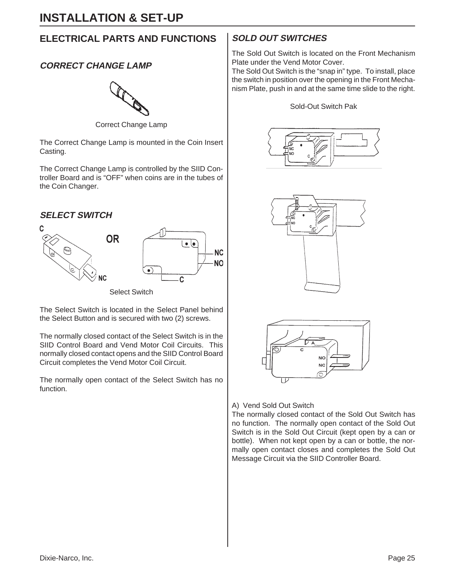# **ELECTRICAL PARTS AND FUNCTIONS**

# **CORRECT CHANGE LAMP**



Correct Change Lamp

The Correct Change Lamp is mounted in the Coin Insert Casting.

The Correct Change Lamp is controlled by the SIID Controller Board and is "OFF" when coins are in the tubes of the Coin Changer.

### **SELECT SWITCH**



Select Switch

The Select Switch is located in the Select Panel behind the Select Button and is secured with two (2) screws.

The normally closed contact of the Select Switch is in the SIID Control Board and Vend Motor Coil Circuits. This normally closed contact opens and the SIID Control Board Circuit completes the Vend Motor Coil Circuit.

The normally open contact of the Select Switch has no function.

# **SOLD OUT SWITCHES**

The Sold Out Switch is located on the Front Mechanism Plate under the Vend Motor Cover.

The Sold Out Switch is the "snap in" type. To install, place the switch in position over the opening in the Front Mechanism Plate, push in and at the same time slide to the right.

#### Sold-Out Switch Pak







#### A) Vend Sold Out Switch

The normally closed contact of the Sold Out Switch has no function. The normally open contact of the Sold Out Switch is in the Sold Out Circuit (kept open by a can or bottle). When not kept open by a can or bottle, the normally open contact closes and completes the Sold Out Message Circuit via the SIID Controller Board.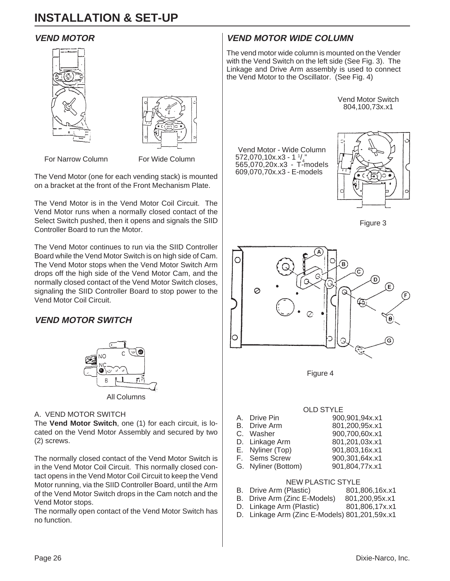### **VEND MOTOR**





For Narrow Column For Wide Column

The Vend Motor (one for each vending stack) is mounted on a bracket at the front of the Front Mechanism Plate.

The Vend Motor is in the Vend Motor Coil Circuit. The Vend Motor runs when a normally closed contact of the Select Switch pushed, then it opens and signals the SIID Controller Board to run the Motor.

The Vend Motor continues to run via the SIID Controller Board while the Vend Motor Switch is on high side of Cam. The Vend Motor stops when the Vend Motor Switch Arm drops off the high side of the Vend Motor Cam, and the normally closed contact of the Vend Motor Switch closes, signaling the SIID Controller Board to stop power to the Vend Motor Coil Circuit.

# **VEND MOTOR SWITCH**



#### All Columns

#### A. VEND MOTOR SWITCH

The **Vend Motor Switch**, one (1) for each circuit, is located on the Vend Motor Assembly and secured by two (2) screws.

The normally closed contact of the Vend Motor Switch is in the Vend Motor Coil Circuit. This normally closed contact opens in the Vend Motor Coil Circuit to keep the Vend Motor running, via the SIID Controller Board, until the Arm of the Vend Motor Switch drops in the Cam notch and the Vend Motor stops.

The normally open contact of the Vend Motor Switch has no function.

# **VEND MOTOR WIDE COLUMN**

Vend Motor - Wide Column

572,070,10x.x3 - 1 1 / 4 " 565,070,20x.x3 - T-models 609,070,70x.x3 - E-models

The vend motor wide column is mounted on the Vender with the Vend Switch on the left side (See Fig. 3). The Linkage and Drive Arm assembly is used to connect the Vend Motor to the Oscillator. (See Fig. 4)



Figure 3



Figure 4

#### OLD STYLE

| A. Drive Pin        | 900,901,94x.x1 |
|---------------------|----------------|
| <b>B.</b> Drive Arm | 801,200,95x.x1 |
| C. Washer           | 900,700,60x.x1 |
| D. Linkage Arm      | 801,201,03x.x1 |
| E. Nyliner (Top)    | 901,803,16x.x1 |
| F. Sems Screw       | 900,301,64x.x1 |
| G. Nyliner (Bottom) | 901,804,77x.x1 |
|                     |                |
|                     |                |

#### NEW PLASTIC STYLE

- B. Drive Arm (Plastic) 801,806,16x.x1<br>B. Drive Arm (Zinc E-Models) 801,200,95x.x1
- B. Drive Arm (Zinc E-Models)
- D. Linkage Arm (Plastic) 801,806,17x.x1
- D. Linkage Arm (Zinc E-Models) 801,201,59x.x1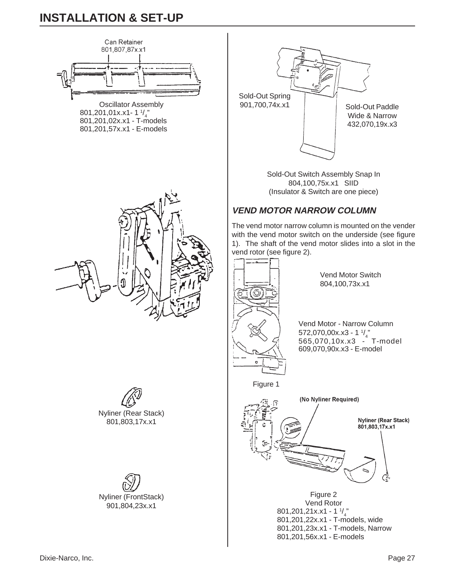

Oscillator Assembly  $801,201,01x.x1-1$ <sup>1</sup>/<sub>4</sub> 801,201,02x.x1 - T-models 801,201,57x.x1 - E-models



Sold-Out Switch Assembly Snap In 804,100,75x.x1 SIID (Insulator & Switch are one piece)

# **VEND MOTOR NARROW COLUMN**

The vend motor narrow column is mounted on the vender with the vend motor switch on the underside (see figure 1). The shaft of the vend motor slides into a slot in the



Vend Motor - Narrow Column 572,070,00x.x3 - 1  $\frac{1}{4}$ 565,070,10x.x3 - T-model 609,070,90x.x3 - E-model



 $801,201,21x.x1 - 1$ <sup>1</sup>/<sub>4</sub> 801,201,22x.x1 - T-models, wide 801,201,23x.x1 - T-models, Narrow 801,201,56x.x1 - E-models



801,803,17x.x1

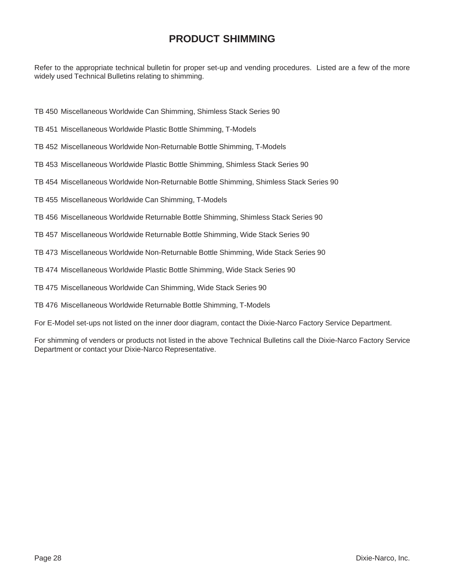# **PRODUCT SHIMMING**

Refer to the appropriate technical bulletin for proper set-up and vending procedures. Listed are a few of the more widely used Technical Bulletins relating to shimming.

- TB 450 Miscellaneous Worldwide Can Shimming, Shimless Stack Series 90
- TB 451 Miscellaneous Worldwide Plastic Bottle Shimming, T-Models
- TB 452 Miscellaneous Worldwide Non-Returnable Bottle Shimming, T-Models
- TB 453 Miscellaneous Worldwide Plastic Bottle Shimming, Shimless Stack Series 90
- TB 454 Miscellaneous Worldwide Non-Returnable Bottle Shimming, Shimless Stack Series 90
- TB 455 Miscellaneous Worldwide Can Shimming, T-Models
- TB 456 Miscellaneous Worldwide Returnable Bottle Shimming, Shimless Stack Series 90
- TB 457 Miscellaneous Worldwide Returnable Bottle Shimming, Wide Stack Series 90
- TB 473 Miscellaneous Worldwide Non-Returnable Bottle Shimming, Wide Stack Series 90
- TB 474 Miscellaneous Worldwide Plastic Bottle Shimming, Wide Stack Series 90
- TB 475 Miscellaneous Worldwide Can Shimming, Wide Stack Series 90
- TB 476 Miscellaneous Worldwide Returnable Bottle Shimming, T-Models
- For E-Model set-ups not listed on the inner door diagram, contact the Dixie-Narco Factory Service Department.

For shimming of venders or products not listed in the above Technical Bulletins call the Dixie-Narco Factory Service Department or contact your Dixie-Narco Representative.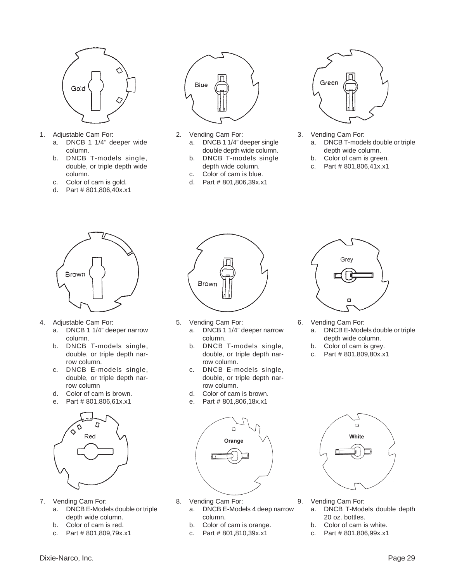

- 1. Adjustable Cam For:
	- a. DNCB 1 1/4" deeper wide column.
	- b. DNCB T-models single, double, or triple depth wide column.
	- c. Color of cam is gold.
	- d. Part # 801,806,40x.x1



- 2. Vending Cam For: a. DNCB 1 1/4" deeper single double depth wide column.
	- b. DNCB T-models single depth wide column.
	- c. Color of cam is blue.
	- d. Part # 801,806,39x.x1



- 3. Vending Cam For: a. DNCB T-models double or triple
	- depth wide column.
	- b. Color of cam is green. c. Part # 801,806,41x.x1
	-



- 4. Adjustable Cam For:
	- a. DNCB 1 1/4" deeper narrow column.
	- b. DNCB T-models single, double, or triple depth narrow column.
	- c. DNCB E-models single, double, or triple depth narrow column
	- d. Color of cam is brown.
	- e. Part # 801,806,61x.x1



- 7. Vending Cam For:
	- a. DNCB E-Models double or triple depth wide column.
	- b. Color of cam is red.
	- c. Part # 801,809,79x.x1



- 5. Vending Cam For:
	- a. DNCB 1 1/4" deeper narrow column.
	- b. DNCB T-models single, double, or triple depth narrow column.
	- c. DNCB E-models single, double, or triple depth narrow column.
	- d. Color of cam is brown.
	- e. Part # 801,806,18x.x1



- 8. Vending Cam For:
	- a. DNCB E-Models 4 deep narrow column.
	- b. Color of cam is orange.
	- c. Part # 801,810,39x.x1



- 6. Vending Cam For:
	- a. DNCB E-Models double or triple depth wide column.
	- b. Color of cam is grey.
	- c. Part # 801,809,80x.x1



- 9. Vending Cam For:
	- a. DNCB T-Models double depth 20 oz. bottles.
	- b. Color of cam is white.
	- c. Part # 801,806,99x.x1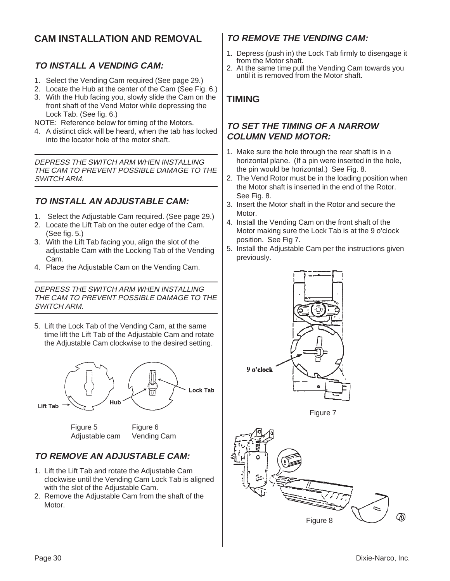# **CAM INSTALLATION AND REMOVAL**

# **TO INSTALL A VENDING CAM:**

- 1. Select the Vending Cam required (See page 29.)
- 2. Locate the Hub at the center of the Cam (See Fig. 6.)
- 3. With the Hub facing you, slowly slide the Cam on the front shaft of the Vend Motor while depressing the Lock Tab. (See fig. 6.)

NOTE: Reference below for timing of the Motors.

4. A distinct click will be heard, when the tab has locked into the locator hole of the motor shaft.

DEPRESS THE SWITCH ARM WHEN INSTALLING THE CAM TO PREVENT POSSIBLE DAMAGE TO THE SWITCH ARM.

# **TO INSTALL AN ADJUSTABLE CAM:**

- 1. Select the Adjustable Cam required. (See page 29.)
- 2. Locate the Lift Tab on the outer edge of the Cam. (See fig. 5.)
- 3. With the Lift Tab facing you, align the slot of the adjustable Cam with the Locking Tab of the Vending Cam.
- 4. Place the Adjustable Cam on the Vending Cam.

DEPRESS THE SWITCH ARM WHEN INSTALLING THE CAM TO PREVENT POSSIBLE DAMAGE TO THE SWITCH ARM.

5. Lift the Lock Tab of the Vending Cam, at the same time lift the Lift Tab of the Adjustable Cam and rotate the Adjustable Cam clockwise to the desired setting.



# **TO REMOVE AN ADJUSTABLE CAM:**

1. Lift the Lift Tab and rotate the Adjustable Cam clockwise until the Vending Cam Lock Tab is aligned with the slot of the Adjustable Cam.

Adjustable cam Vending Cam

2. Remove the Adjustable Cam from the shaft of the **Motor** 

# **TO REMOVE THE VENDING CAM:**

- 1. Depress (push in) the Lock Tab firmly to disengage it from the Motor shaft.
- 2. At the same time pull the Vending Cam towards you until it is removed from the Motor shaft.

# **TIMING**

### **TO SET THE TIMING OF A NARROW COLUMN VEND MOTOR:**

- 1. Make sure the hole through the rear shaft is in a horizontal plane. (If a pin were inserted in the hole, the pin would be horizontal.) See Fig. 8.
- 2. The Vend Rotor must be in the loading position when the Motor shaft is inserted in the end of the Rotor. See Fig. 8.
- 3. Insert the Motor shaft in the Rotor and secure the **Motor**
- 4. Install the Vending Cam on the front shaft of the Motor making sure the Lock Tab is at the 9 o'clock position. See Fig 7.
- 5. Install the Adjustable Cam per the instructions given previously.



Figure 7

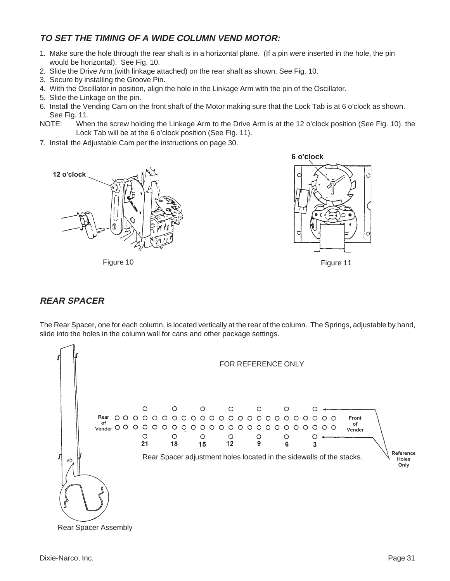# **TO SET THE TIMING OF A WIDE COLUMN VEND MOTOR:**

- 1. Make sure the hole through the rear shaft is in a horizontal plane. (If a pin were inserted in the hole, the pin would be horizontal). See Fig. 10.
- 2. Slide the Drive Arm (with linkage attached) on the rear shaft as shown. See Fig. 10.
- 3. Secure by installing the Groove Pin.
- 4. With the Oscillator in position, align the hole in the Linkage Arm with the pin of the Oscillator.
- 5. Slide the Linkage on the pin.
- 6. Install the Vending Cam on the front shaft of the Motor making sure that the Lock Tab is at 6 o'clock as shown. See Fig. 11.
- NOTE: When the screw holding the Linkage Arm to the Drive Arm is at the 12 o'clock position (See Fig. 10), the Lock Tab will be at the 6 o'clock position (See Fig. 11).
- 7. Install the Adjustable Cam per the instructions on page 30.



Figure 10 Figure 11



# **REAR SPACER**

The Rear Spacer, one for each column, is located vertically at the rear of the column. The Springs, adjustable by hand, slide into the holes in the column wall for cans and other package settings.

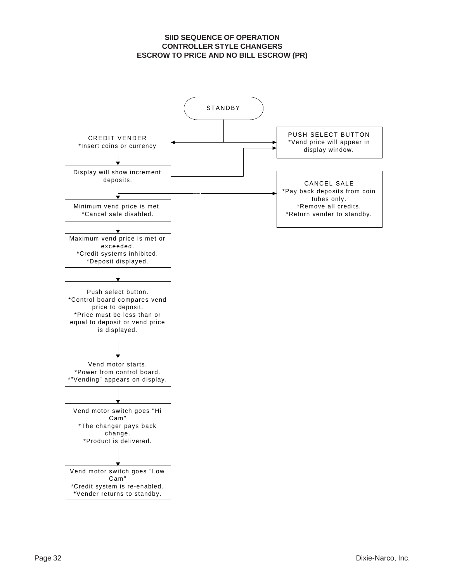#### **SIID SEQUENCE OF OPERATION CONTROLLER STYLE CHANGERS ESCROW TO PRICE AND NO BILL ESCROW (PR)**

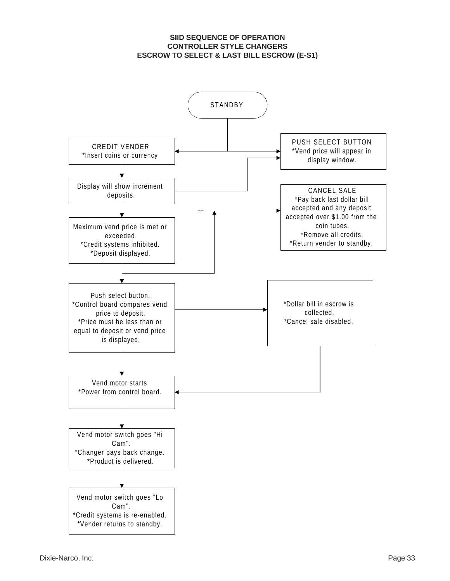#### **SIID SEQUENCE OF OPERATION CONTROLLER STYLE CHANGERS ESCROW TO SELECT & LAST BILL ESCROW (E-S1)**

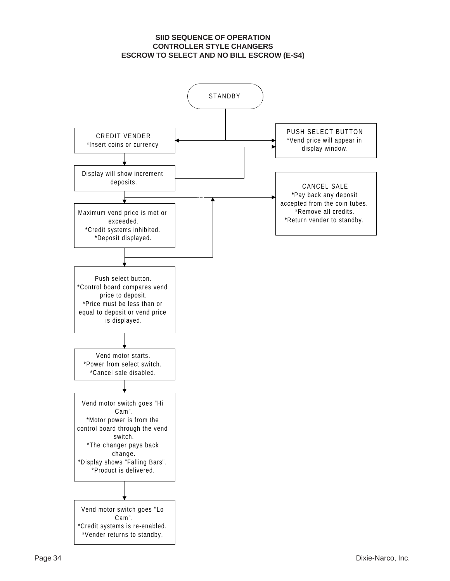#### **SIID SEQUENCE OF OPERATION CONTROLLER STYLE CHANGERS ESCROW TO SELECT AND NO BILL ESCROW (E-S4)**

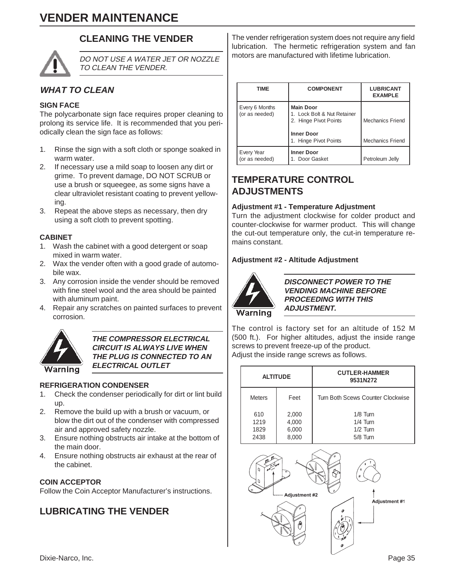# **VENDER MAINTENANCE**

# **CLEANING THE VENDER**



DO NOT USE A WATER JET OR NOZZLE TO CLEAN THE VENDER.

# **WHAT TO CLEAN**

#### **SIGN FACE**

The polycarbonate sign face requires proper cleaning to prolong its service life. It is recommended that you periodically clean the sign face as follows:

- 1. Rinse the sign with a soft cloth or sponge soaked in warm water.
- 2. If necessary use a mild soap to loosen any dirt or grime. To prevent damage, DO NOT SCRUB or use a brush or squeegee, as some signs have a clear ultraviolet resistant coating to prevent yellowing.
- 3. Repeat the above steps as necessary, then dry using a soft cloth to prevent spotting.

#### **CABINET**

- 1. Wash the cabinet with a good detergent or soap mixed in warm water.
- 2. Wax the vender often with a good grade of automobile wax.
- 3. Any corrosion inside the vender should be removed with fine steel wool and the area should be painted with aluminum paint.
- 4. Repair any scratches on painted surfaces to prevent corrosion.



#### **THE COMPRESSOR ELECTRICAL CIRCUIT IS ALWAYS LIVE WHEN THE PLUG IS CONNECTED TO AN ELECTRICAL OUTLET**

#### **REFRIGERATION CONDENSER**

- 1. Check the condenser periodically for dirt or lint build up.
- 2. Remove the build up with a brush or vacuum, or blow the dirt out of the condenser with compressed air and approved safety nozzle.
- 3. Ensure nothing obstructs air intake at the bottom of the main door.
- 4. Ensure nothing obstructs air exhaust at the rear of the cabinet.

#### **COIN ACCEPTOR**

Follow the Coin Acceptor Manufacturer's instructions.

# **LUBRICATING THE VENDER**

The vender refrigeration system does not require any field lubrication. The hermetic refrigeration system and fan motors are manufactured with lifetime lubrication.

| <b>TIME</b>                      | <b>COMPONENT</b>                                                                                                       | <b>LUBRICANT</b><br><b>EXAMPLE</b>                 |
|----------------------------------|------------------------------------------------------------------------------------------------------------------------|----------------------------------------------------|
| Every 6 Months<br>(or as needed) | <b>Main Door</b><br>1. Lock Bolt & Nut Retainer<br>2. Hinge Pivot Points<br><b>Inner Door</b><br>1. Hinge Pivot Points | <b>Mechanics Friend</b><br><b>Mechanics Friend</b> |
| Every Year<br>(or as needed)     | <b>Inner Door</b><br>1. Door Gasket                                                                                    | Petroleum Jelly                                    |

# **TEMPERATURE CONTROL ADJUSTMENTS**

#### **Adjustment #1 - Temperature Adjustment**

Turn the adjustment clockwise for colder product and counter-clockwise for warmer product. This will change the cut-out temperature only, the cut-in temperature remains constant.

#### **Adjustment #2 - Altitude Adjustment**



**DISCONNECT POWER TO THE VENDING MACHINE BEFORE PROCEEDING WITH THIS ADJUSTMENT.**

The control is factory set for an altitude of 152 M (500 ft.). For higher altitudes, adjust the inside range screws to prevent freeze-up of the product. Adjust the inside range screws as follows.

| <b>ALTITUDE</b>             |                                  | <b>CUTLER-HAMMER</b><br>9531N272                   |
|-----------------------------|----------------------------------|----------------------------------------------------|
| <b>Meters</b>               | Feet                             | Turn Both Scews Counter Clockwise                  |
| 610<br>1219<br>1829<br>2438 | 2,000<br>4,000<br>6,000<br>8.000 | $1/8$ Turn<br>$1/4$ Turn<br>$1/2$ Turn<br>5/8 Turn |

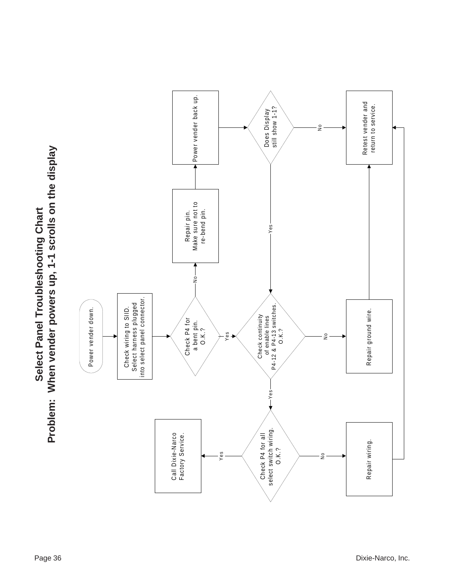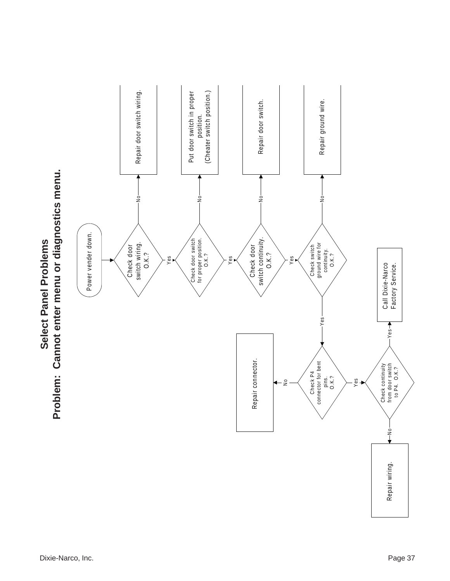

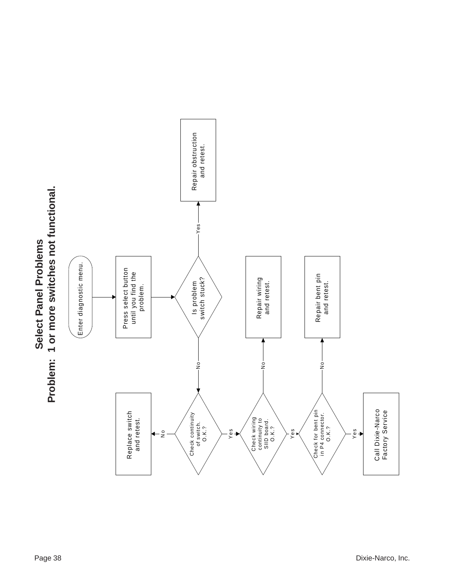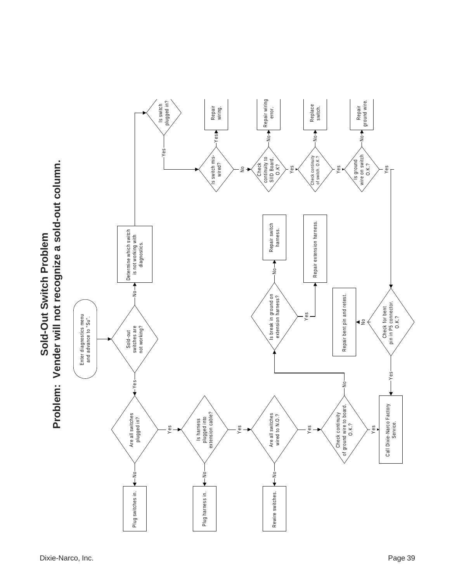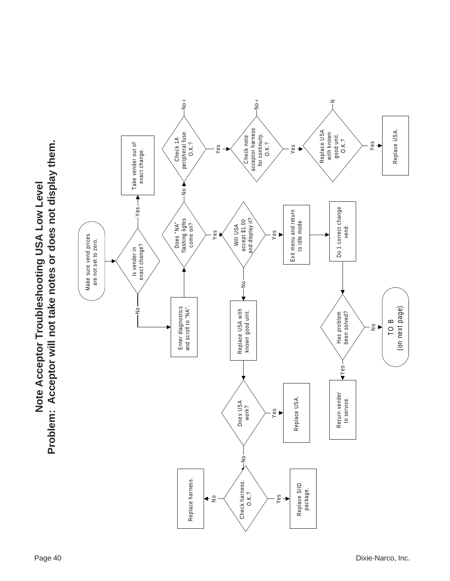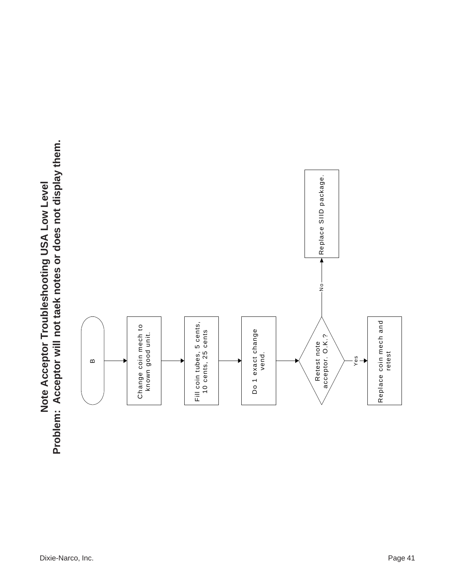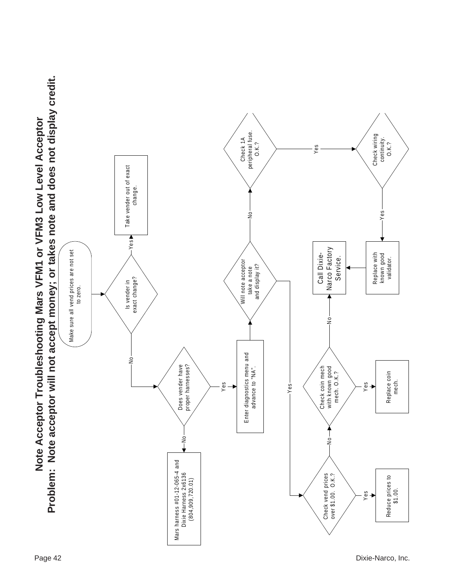

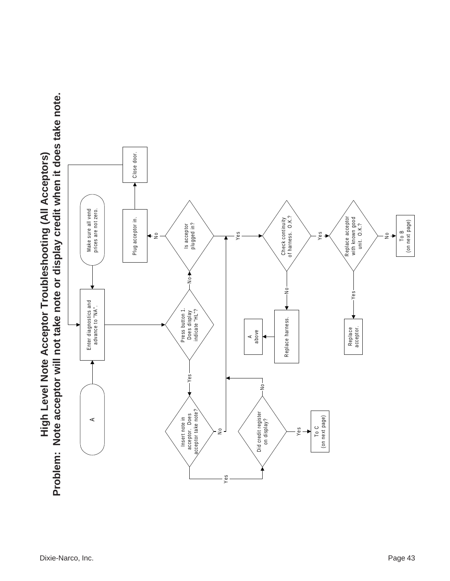

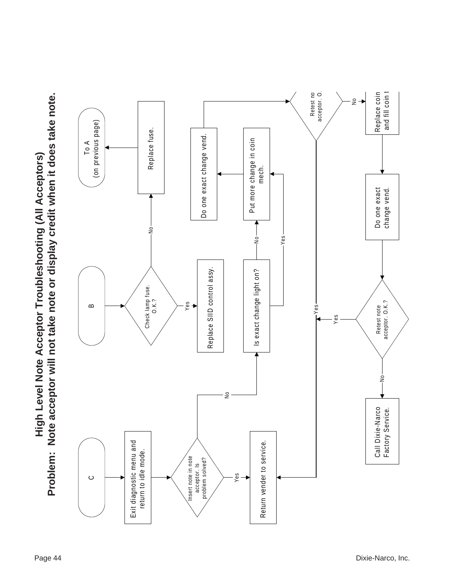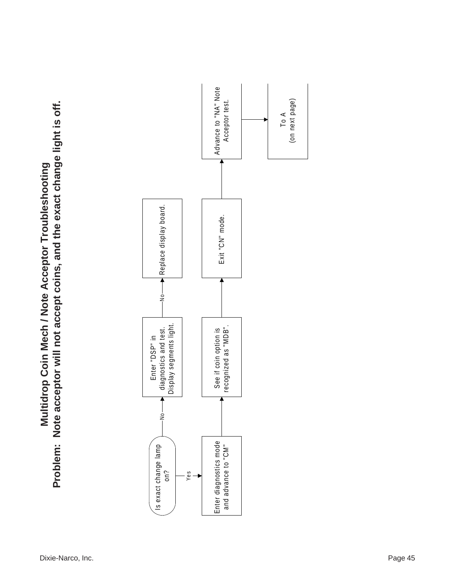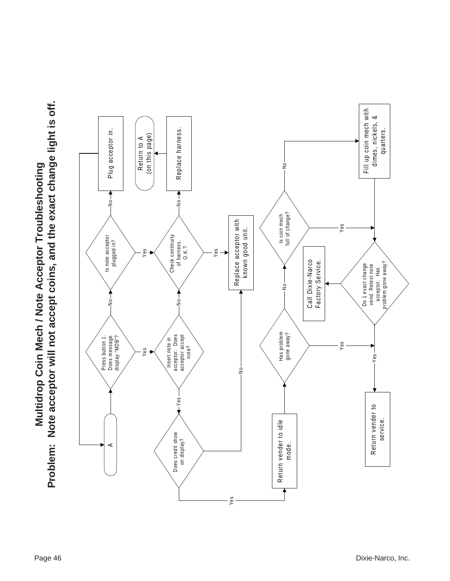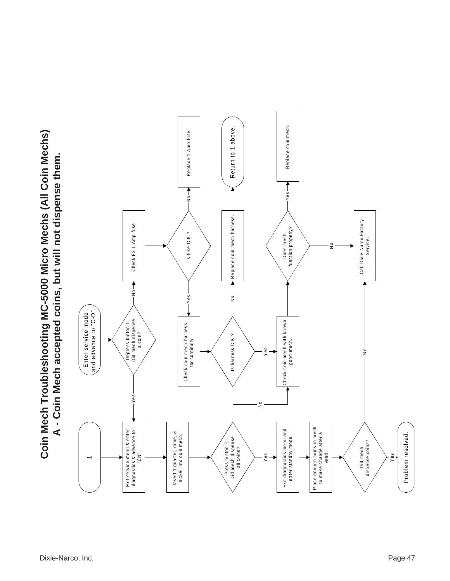

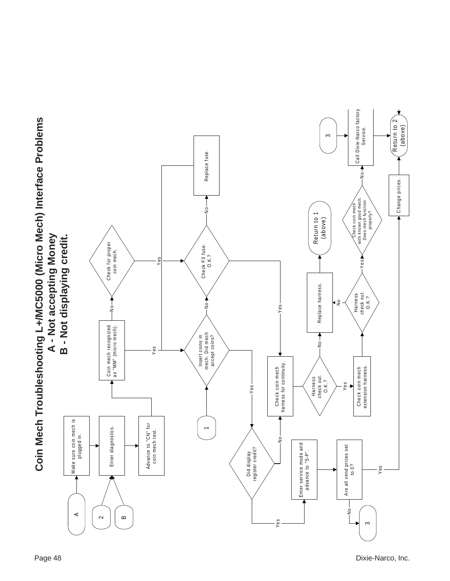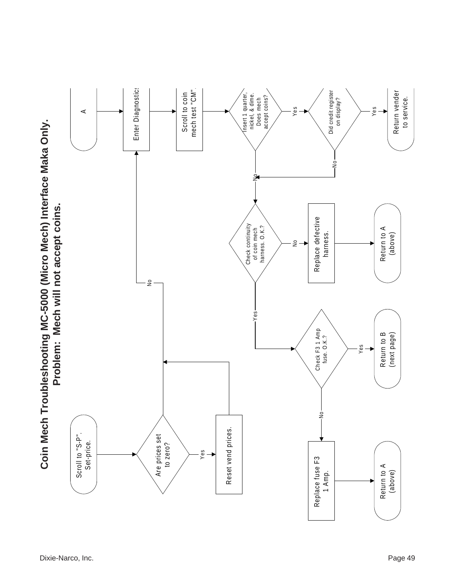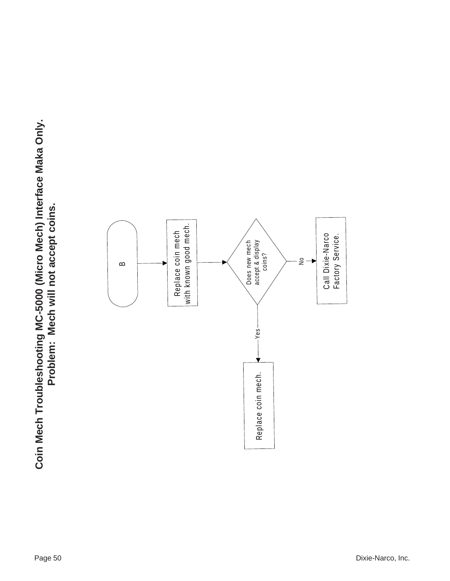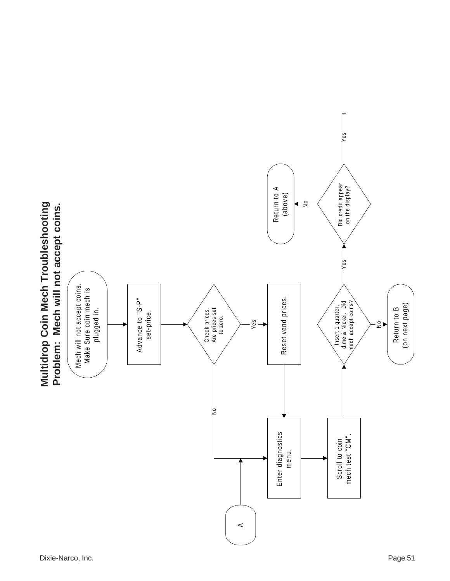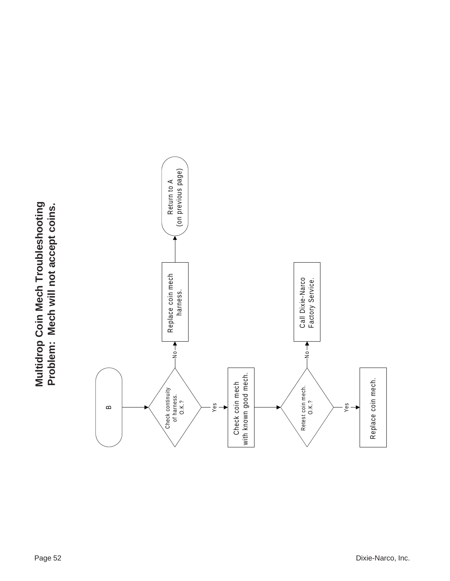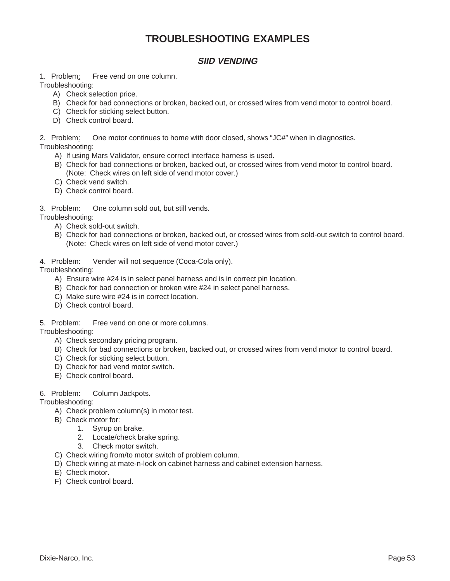# **TROUBLESHOOTING EXAMPLES**

### **SIID VENDING**

1. Problem: Free vend on one column.

Troubleshooting:

- A) Check selection price.
- B) Check for bad connections or broken, backed out, or crossed wires from vend motor to control board.
- C) Check for sticking select button.
- D) Check control board.

2. Problem: One motor continues to home with door closed, shows "JC#" when in diagnostics.

Troubleshooting:

- A) If using Mars Validator, ensure correct interface harness is used.
- B) Check for bad connections or broken, backed out, or crossed wires from vend motor to control board. (Note: Check wires on left side of vend motor cover.)
- C) Check vend switch.
- D) Check control board.

3. Problem: One column sold out, but still vends.

Troubleshooting:

- A) Check sold-out switch.
- B) Check for bad connections or broken, backed out, or crossed wires from sold-out switch to control board. (Note: Check wires on left side of vend motor cover.)
- 4. Problem: Vender will not sequence (Coca-Cola only).

Troubleshooting:

- A) Ensure wire #24 is in select panel harness and is in correct pin location.
- B) Check for bad connection or broken wire #24 in select panel harness.
- C) Make sure wire #24 is in correct location.
- D) Check control board.
- 5. Problem: Free vend on one or more columns.

Troubleshooting:

- A) Check secondary pricing program.
- B) Check for bad connections or broken, backed out, or crossed wires from vend motor to control board.
- C) Check for sticking select button.
- D) Check for bad vend motor switch.
- E) Check control board.

#### 6. Problem: Column Jackpots.

Troubleshooting:

- A) Check problem column(s) in motor test.
- B) Check motor for:
	- 1. Syrup on brake.
		- 2. Locate/check brake spring.
		- 3. Check motor switch.
- C) Check wiring from/to motor switch of problem column.
- D) Check wiring at mate-n-lock on cabinet harness and cabinet extension harness.
- E) Check motor.
- F) Check control board.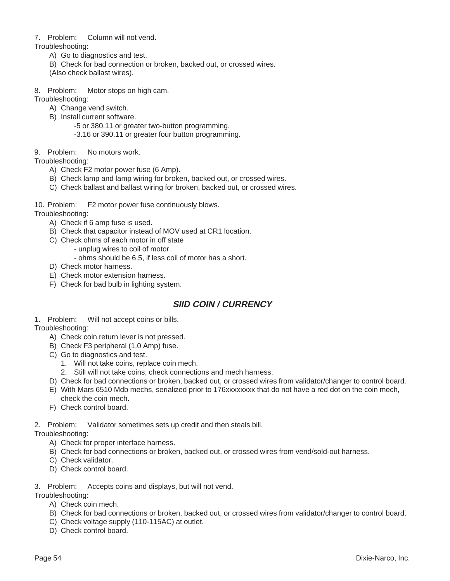#### 7. Problem: Column will not vend.

- Troubleshooting:
	- A) Go to diagnostics and test.
	- B) Check for bad connection or broken, backed out, or crossed wires.
	- (Also check ballast wires).
- 8. Problem: Motor stops on high cam.

Troubleshooting:

- A) Change vend switch.
- B) Install current software.
	- -5 or 380.11 or greater two-button programming.
	- -3.16 or 390.11 or greater four button programming.
- 9. Problem: No motors work.

#### Troubleshooting:

- A) Check F2 motor power fuse (6 Amp).
- B) Check lamp and lamp wiring for broken, backed out, or crossed wires.
- C) Check ballast and ballast wiring for broken, backed out, or crossed wires.
- 10. Problem: F2 motor power fuse continuously blows.

Troubleshooting:

- A) Check if 6 amp fuse is used.
- B) Check that capacitor instead of MOV used at CR1 location.
- C) Check ohms of each motor in off state
	- unplug wires to coil of motor.
		- ohms should be 6.5, if less coil of motor has a short.
- D) Check motor harness.
- E) Check motor extension harness.
- F) Check for bad bulb in lighting system.

# **SIID COIN / CURRENCY**

1. Problem: Will not accept coins or bills.

Troubleshooting:

- A) Check coin return lever is not pressed.
- B) Check F3 peripheral (1.0 Amp) fuse.
- C) Go to diagnostics and test.
	- 1. Will not take coins, replace coin mech.
	- 2. Still will not take coins, check connections and mech harness.
- D) Check for bad connections or broken, backed out, or crossed wires from validator/changer to control board.
- E) With Mars 6510 Mdb mechs, serialized prior to 176xxxxxxxx that do not have a red dot on the coin mech, check the coin mech.
- F) Check control board.

2. Problem: Validator sometimes sets up credit and then steals bill.

Troubleshooting:

- A) Check for proper interface harness.
- B) Check for bad connections or broken, backed out, or crossed wires from vend/sold-out harness.
- C) Check validator.
- D) Check control board.
- 3. Problem: Accepts coins and displays, but will not vend.

Troubleshooting:

- A) Check coin mech.
- B) Check for bad connections or broken, backed out, or crossed wires from validator/changer to control board.
- C) Check voltage supply (110-115AC) at outlet.
- D) Check control board.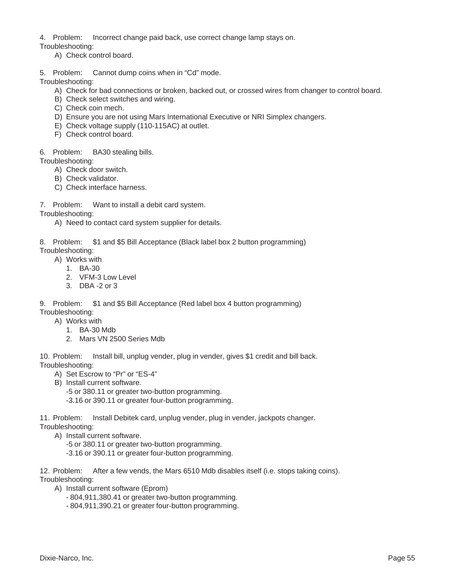4. Problem: Incorrect change paid back, use correct change lamp stays on.

Troubleshooting:

- A) Check control board.
- 5. Problem: Cannot dump coins when in "Cd" mode.

Troubleshooting:

- A) Check for bad connections or broken, backed out, or crossed wires from changer to control board.
- B) Check select switches and wiring.
- C) Check coin mech.
- D) Ensure you are not using Mars International Executive or NRI Simplex changers.
- E) Check voltage supply (110-115AC) at outlet.
- F) Check control board.
- 6. Problem: BA30 stealing bills.

Troubleshooting:

- A) Check door switch.
- B) Check validator.
- C) Check interface harness.
- 7. Problem: Want to install a debit card system.

Troubleshooting:

A) Need to contact card system supplier for details.

8. Problem: \$1 and \$5 Bill Acceptance (Black label box 2 button programming)

- Troubleshooting:
	- A) Works with
		- 1. BA-30
		- 2. VFM-3 Low Level
		- 3. DBA -2 or 3

9. Problem: \$1 and \$5 Bill Acceptance (Red label box 4 button programming)

- Troubleshooting:
	- A) Works with
		- 1. BA-30 Mdb
		- 2. Mars VN 2500 Series Mdb

10. Problem: Install bill, unplug vender, plug in vender, gives \$1 credit and bill back. Troubleshooting:

- A) Set Escrow to "Pr" or "ES-4"
- B) Install current software.
	- -5 or 380.11 or greater two-button programming.
	- -3.16 or 390.11 or greater four-button programming.

11. Problem: Install Debitek card, unplug vender, plug in vender, jackpots changer. Troubleshooting:

- A) Install current software.
	- -5 or 380.11 or greater two-button programming.
	- -3.16 or 390.11 or greater four-button programming.

12. Problem: After a few vends, the Mars 6510 Mdb disables itself (i.e. stops taking coins). Troubleshooting:

- A) Install current software (Eprom)
	- 804,911,380.41 or greater two-button programming.
	- 804,911,390.21 or greater four-button programming.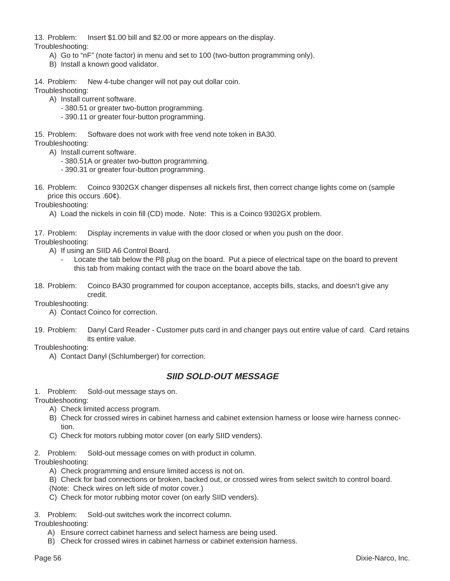13. Problem: Insert \$1.00 bill and \$2.00 or more appears on the display.

Troubleshooting:

- A) Go to "nF" (note factor) in menu and set to 100 (two-button programming only).
- B) Install a known good validator.
- 14. Problem: New 4-tube changer will not pay out dollar coin.

Troubleshooting:

- A) Install current software.
	- 380.51 or greater two-button programming.
	- 390.11 or greater four-button programming.

15. Problem: Software does not work with free vend note token in BA30.

Troubleshooting:

- A) Install current software.
	- 380.51A or greater two-button programming.
	- 390.31 or greater four-button programming.
- 16. Problem: Coinco 9302GX changer dispenses all nickels first, then correct change lights come on (sample price this occurs .60¢).

Troubleshooting:

A) Load the nickels in coin fill (CD) mode. Note: This is a Coinco 9302GX problem.

17. Problem: Display increments in value with the door closed or when you push on the door.

Troubleshooting:

- A) If using an SIID A6 Control Board.
	- Locate the tab below the P8 plug on the board. Put a piece of electrical tape on the board to prevent this tab from making contact with the trace on the board above the tab.
- 18. Problem: Coinco BA30 programmed for coupon acceptance, accepts bills, stacks, and doesn't give any credit.

Troubleshooting:

A) Contact Coinco for correction.

19. Problem: Danyl Card Reader - Customer puts card in and changer pays out entire value of card. Card retains its entire value.

Troubleshooting:

A) Contact Danyl (Schlumberger) for correction.

# **SIID SOLD-OUT MESSAGE**

1. Problem: Sold-out message stays on.

Troubleshooting:

- A) Check limited access program.
- B) Check for crossed wires in cabinet harness and cabinet extension harness or loose wire harness connection.
- C) Check for motors rubbing motor cover (on early SIID venders).

2. Problem: Sold-out message comes on with product in column.

Troubleshooting:

- A) Check programming and ensure limited access is not on.
- B) Check for bad connections or broken, backed out, or crossed wires from select switch to control board. (Note: Check wires on left side of motor cover.)
- C) Check for motor rubbing motor cover (on early SIID venders).

3. Problem: Sold-out switches work the incorrect column.

Troubleshooting:

- A) Ensure correct cabinet harness and select harness are being used.
- B) Check for crossed wires in cabinet harness or cabinet extension harness.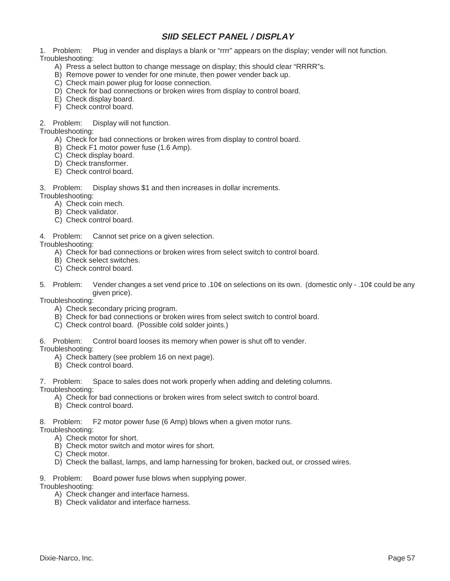# **SIID SELECT PANEL / DISPLAY**

1. Problem: Plug in vender and displays a blank or "rrrr" appears on the display; vender will not function. Troubleshooting:

- A) Press a select button to change message on display; this should clear "RRRR"s.
- B) Remove power to vender for one minute, then power vender back up.
- C) Check main power plug for loose connection.
- D) Check for bad connections or broken wires from display to control board.
- E) Check display board.
- F) Check control board.

#### 2. Problem: Display will not function.

Troubleshooting:

- A) Check for bad connections or broken wires from display to control board.
- B) Check F1 motor power fuse (1.6 Amp).
- C) Check display board.
- D) Check transformer.
- E) Check control board.

3. Problem: Display shows \$1 and then increases in dollar increments.

- Troubleshooting:
	- A) Check coin mech.
	- B) Check validator.
	- C) Check control board.
- 4. Problem: Cannot set price on a given selection.

Troubleshooting:

- A) Check for bad connections or broken wires from select switch to control board.
- B) Check select switches.
- C) Check control board.
- 5. Problem: Vender changes a set vend price to .10¢ on selections on its own. (domestic only .10¢ could be any given price).

Troubleshooting:

- A) Check secondary pricing program.
- B) Check for bad connections or broken wires from select switch to control board.
- C) Check control board. (Possible cold solder joints.)

6. Problem: Control board looses its memory when power is shut off to vender.

Troubleshooting:

- A) Check battery (see problem 16 on next page).
- B) Check control board.

7. Problem: Space to sales does not work properly when adding and deleting columns.

Troubleshooting:

- A) Check for bad connections or broken wires from select switch to control board.
- B) Check control board.

8. Problem: F2 motor power fuse (6 Amp) blows when a given motor runs.

Troubleshooting:

- A) Check motor for short.
- B) Check motor switch and motor wires for short.
- C) Check motor.
- D) Check the ballast, lamps, and lamp harnessing for broken, backed out, or crossed wires.
- 9. Problem: Board power fuse blows when supplying power.

Troubleshooting:

- A) Check changer and interface harness.
- B) Check validator and interface harness.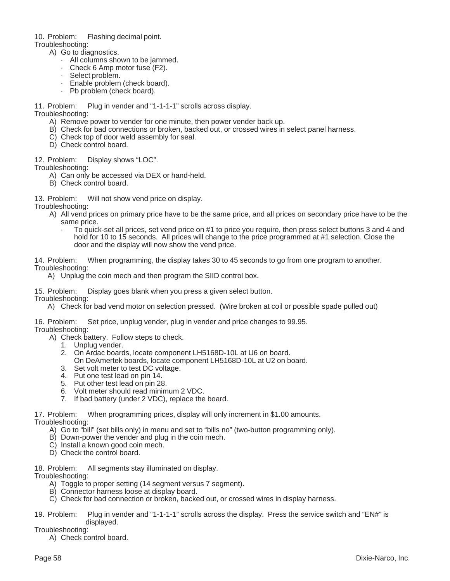10. Problem: Flashing decimal point.

- Troubleshooting:
	- A) Go to diagnostics.
		- · All columns shown to be jammed.
		- Check 6 Amp motor fuse (F2).
		- Select problem.
		- Enable problem (check board).
		- Pb problem (check board).

11. Problem: Plug in vender and "1-1-1-1" scrolls across display.

#### Troubleshooting:

- A) Remove power to vender for one minute, then power vender back up.
- B) Check for bad connections or broken, backed out, or crossed wires in select panel harness.
- C) Check top of door weld assembly for seal.
- D) Check control board.

12. Problem: Display shows "LOC".

Troubleshooting:

- A) Can only be accessed via DEX or hand-held.
- B) Check control board.
- 13. Problem: Will not show vend price on display.

Troubleshooting:

- A) All vend prices on primary price have to be the same price, and all prices on secondary price have to be the same price.
	- · To quick-set all prices, set vend price on #1 to price you require, then press select buttons 3 and 4 and hold for 10 to 15 seconds. All prices will change to the price programmed at #1 selection. Close the door and the display will now show the vend price.

14. Problem: When programming, the display takes 30 to 45 seconds to go from one program to another. Troubleshooting:

A) Unplug the coin mech and then program the SIID control box.

15. Problem: Display goes blank when you press a given select button.

- Troubleshooting:
	- A) Check for bad vend motor on selection pressed. (Wire broken at coil or possible spade pulled out)

16. Problem: Set price, unplug vender, plug in vender and price changes to 99.95. Troubleshooting:

- A) Check battery. Follow steps to check.
	- 1. Unplug vender.
	- 2. On Ardac boards, locate component LH5168D-10L at U6 on board.
	- On DeAmertek boards, locate component LH5168D-10L at U2 on board.
	- 3. Set volt meter to test DC voltage.
	- 4. Put one test lead on pin 14.
	- 5. Put other test lead on pin 28.
	- 6. Volt meter should read minimum 2 VDC.
	- 7. If bad battery (under 2 VDC), replace the board.

17. Problem: When programming prices, display will only increment in \$1.00 amounts. Troubleshooting:

- A) Go to "bill" (set bills only) in menu and set to "bills no" (two-button programming only).
- B) Down-power the vender and plug in the coin mech.
- C) Install a known good coin mech.
- D) Check the control board.
- 18. Problem: All segments stay illuminated on display.

Troubleshooting:

- A) Toggle to proper setting (14 segment versus 7 segment).
- B) Connector harness loose at display board.
- C) Check for bad connection or broken, backed out, or crossed wires in display harness.
- 19. Problem: Plug in vender and "1-1-1-1" scrolls across the display. Press the service switch and "EN#" is displayed.

Troubleshooting:

A) Check control board.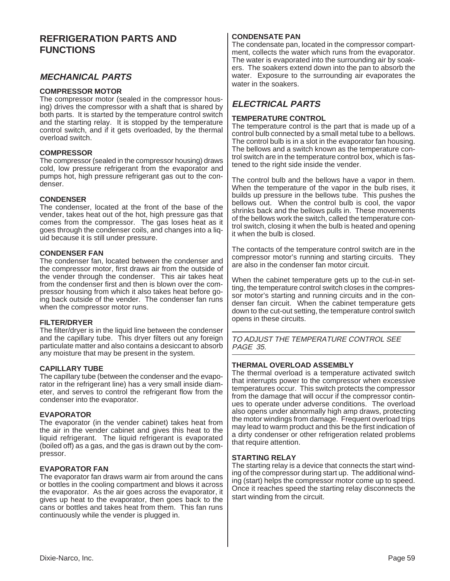# **REFRIGERATION PARTS AND FUNCTIONS**

### **MECHANICAL PARTS**

#### **COMPRESSOR MOTOR**

The compressor motor (sealed in the compressor housing) drives the compressor with a shaft that is shared by both parts. It is started by the temperature control switch and the starting relay. It is stopped by the temperature control switch, and if it gets overloaded, by the thermal overload switch.

#### **COMPRESSOR**

The compressor (sealed in the compressor housing) draws cold, low pressure refrigerant from the evaporator and pumps hot, high pressure refrigerant gas out to the condenser.

#### **CONDENSER**

The condenser, located at the front of the base of the vender, takes heat out of the hot, high pressure gas that comes from the compressor. The gas loses heat as it goes through the condenser coils, and changes into a liquid because it is still under pressure.

#### **CONDENSER FAN**

The condenser fan, located between the condenser and the compressor motor, first draws air from the outside of the vender through the condenser. This air takes heat from the condenser first and then is blown over the compressor housing from which it also takes heat before going back outside of the vender. The condenser fan runs when the compressor motor runs.

#### **FILTER/DRYER**

The filter/dryer is in the liquid line between the condenser and the capillary tube. This dryer filters out any foreign particulate matter and also contains a desiccant to absorb any moisture that may be present in the system.

#### **CAPILLARY TUBE**

The capillary tube (between the condenser and the evaporator in the refrigerant line) has a very small inside diameter, and serves to control the refrigerant flow from the condenser into the evaporator.

#### **EVAPORATOR**

The evaporator (in the vender cabinet) takes heat from the air in the vender cabinet and gives this heat to the liquid refrigerant. The liquid refrigerant is evaporated (boiled off) as a gas, and the gas is drawn out by the compressor.

#### **EVAPORATOR FAN**

The evaporator fan draws warm air from around the cans or bottles in the cooling compartment and blows it across the evaporator. As the air goes across the evaporator, it gives up heat to the evaporator, then goes back to the cans or bottles and takes heat from them. This fan runs continuously while the vender is plugged in.

#### **CONDENSATE PAN**

The condensate pan, located in the compressor compartment, collects the water which runs from the evaporator. The water is evaporated into the surrounding air by soakers. The soakers extend down into the pan to absorb the water. Exposure to the surrounding air evaporates the water in the soakers.

### **ELECTRICAL PARTS**

#### **TEMPERATURE CONTROL**

The temperature control is the part that is made up of a control bulb connected by a small metal tube to a bellows. The control bulb is in a slot in the evaporator fan housing. The bellows and a switch known as the temperature control switch are in the temperature control box, which is fastened to the right side inside the vender.

The control bulb and the bellows have a vapor in them. When the temperature of the vapor in the bulb rises, it builds up pressure in the bellows tube. This pushes the bellows out. When the control bulb is cool, the vapor shrinks back and the bellows pulls in. These movements of the bellows work the switch, called the temperature control switch, closing it when the bulb is heated and opening it when the bulb is closed.

The contacts of the temperature control switch are in the compressor motor's running and starting circuits. They are also in the condenser fan motor circuit.

When the cabinet temperature gets up to the cut-in setting, the temperature control switch closes in the compressor motor's starting and running circuits and in the condenser fan circuit. When the cabinet temperature gets down to the cut-out setting, the temperature control switch opens in these circuits.

TO ADJUST THE TEMPERATURE CONTROL SEE PAGE 35.

#### **THERMAL OVERLOAD ASSEMBLY**

The thermal overload is a temperature activated switch that interrupts power to the compressor when excessive temperatures occur. This switch protects the compressor from the damage that will occur if the compressor continues to operate under adverse conditions. The overload also opens under abnormally high amp draws, protecting the motor windings from damage. Frequent overload trips may lead to warm product and this be the first indication of a dirty condenser or other refrigeration related problems that require attention.

#### **STARTING RELAY**

The starting relay is a device that connects the start winding of the compressor during start up. The additional winding (start) helps the compressor motor come up to speed. Once it reaches speed the starting relay disconnects the start winding from the circuit.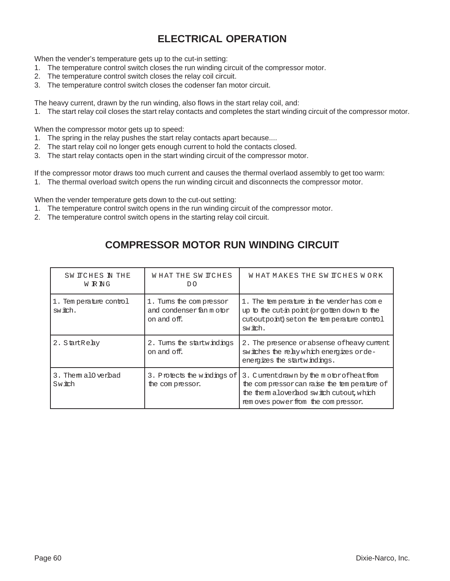# **ELECTRICAL OPERATION**

When the vender's temperature gets up to the cut-in setting:

- 1. The temperature control switch closes the run winding circuit of the compressor motor.
- 2. The temperature control switch closes the relay coil circuit.
- 3. The temperature control switch closes the codenser fan motor circuit.

The heavy current, drawn by the run winding, also flows in the start relay coil, and:

1. The start relay coil closes the start relay contacts and completes the start winding circuit of the compressor motor.

When the compressor motor gets up to speed:

- 1. The spring in the relay pushes the start relay contacts apart because....
- 2. The start relay coil no longer gets enough current to hold the contacts closed.
- 3. The start relay contacts open in the start winding circuit of the compressor motor.

If the compressor motor draws too much current and causes the thermal overlaod assembly to get too warm:

1. The thermal overload switch opens the run winding circuit and disconnects the compressor motor.

When the vender temperature gets down to the cut-out setting:

- 1. The temperature control switch opens in the run winding circuit of the compressor motor.
- 2. The temperature control switch opens in the starting relay coil circuit.

| SW ITCHES IN THE<br>W R NG        | WHAT THE SWITCHES<br>DO                                            | WHAT MAKES THE SW ITCHES WORK                                                                                                                                              |
|-----------------------------------|--------------------------------------------------------------------|----------------------------------------------------------------------------------------------------------------------------------------------------------------------------|
| 1. Temperature control<br>switch. | 1. Turns the compressor<br>and condenser fan m otor<br>on and off. | 1. The temperature in the vender has come<br>up to the cut-in point (or gotten down to the<br>cutoutpoint) seton the temperature control<br>switch.                        |
| 2. StartReby                      | 2. Turns the startwindings<br>on and off.                          | 2. The presence or absense of heavy current<br>switches the relay which energizes orde-<br>energizes the startwindings.                                                    |
| 3. Them all verbad<br>Switch      | 3. Protects the windings of<br>the compressor.                     | 3. Cumentdrawn by the motor of heat from<br>the compressor can raise the temperature of<br>the them alover hod switch cutout, which<br>rem oves power from the compressor. |

# **COMPRESSOR MOTOR RUN WINDING CIRCUIT**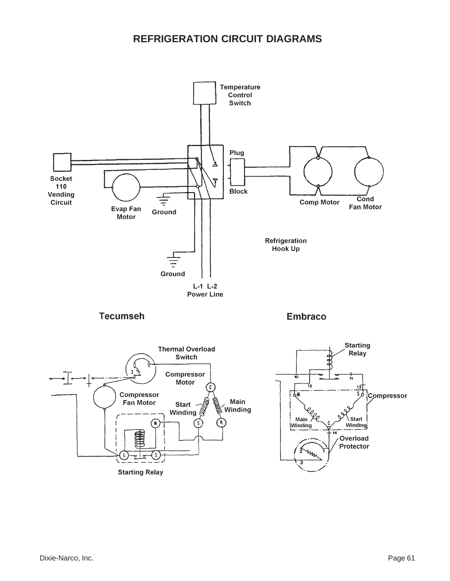# **REFRIGERATION CIRCUIT DIAGRAMS**

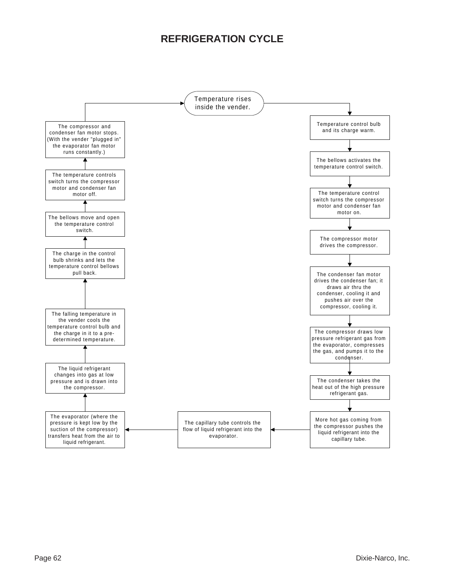# **REFRIGERATION CYCLE**

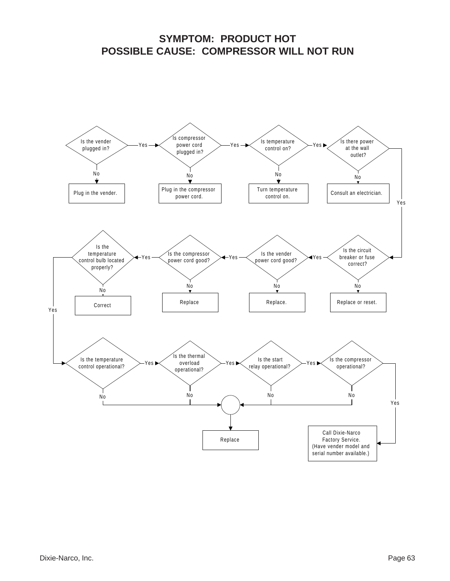# **SYMPTOM: PRODUCT HOT POSSIBLE CAUSE: COMPRESSOR WILL NOT RUN**

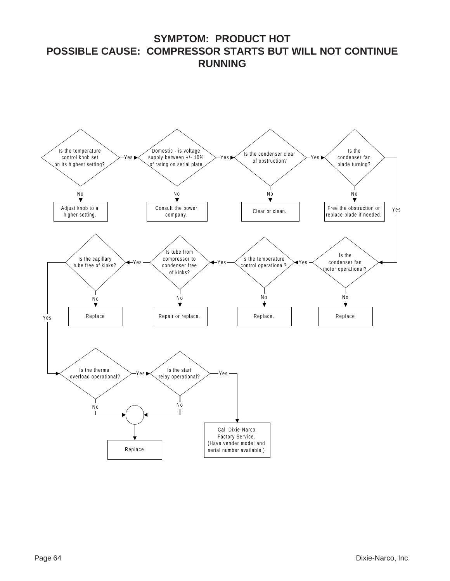**SYMPTOM: PRODUCT HOT POSSIBLE CAUSE: COMPRESSOR STARTS BUT WILL NOT CONTINUE RUNNING**

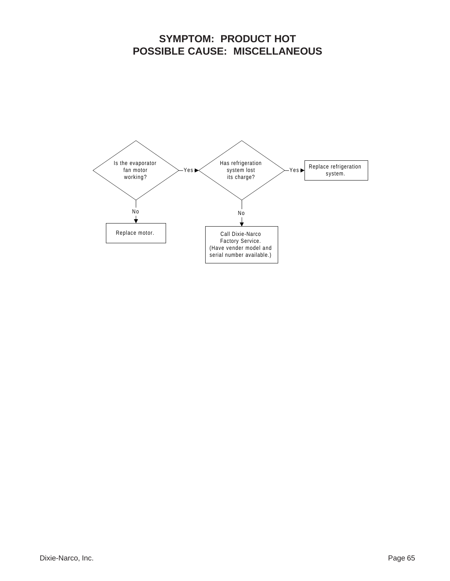# **SYMPTOM: PRODUCT HOT POSSIBLE CAUSE: MISCELLANEOUS**

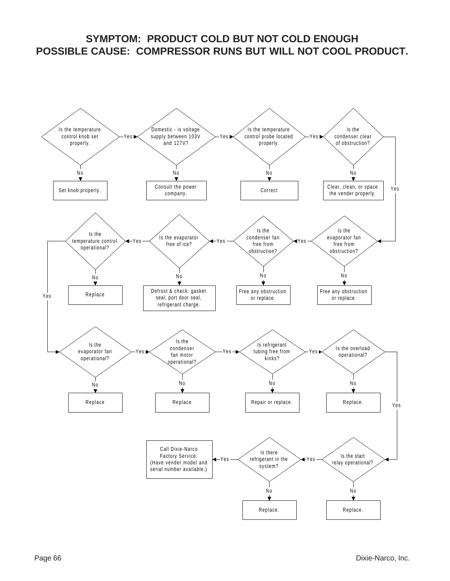# **SYMPTOM: PRODUCT COLD BUT NOT COLD ENOUGH POSSIBLE CAUSE: COMPRESSOR RUNS BUT WILL NOT COOL PRODUCT.**

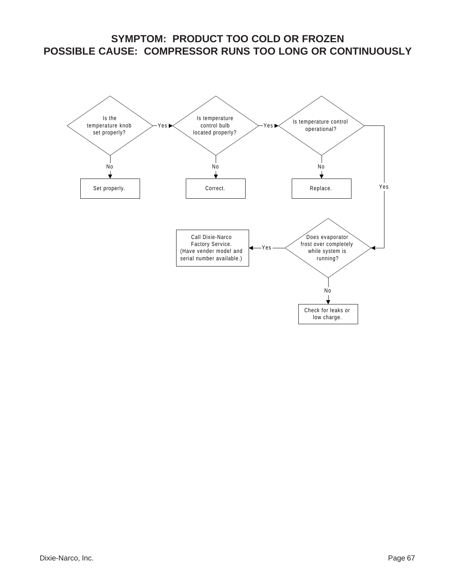# **SYMPTOM: PRODUCT TOO COLD OR FROZEN POSSIBLE CAUSE: COMPRESSOR RUNS TOO LONG OR CONTINUOUSLY**

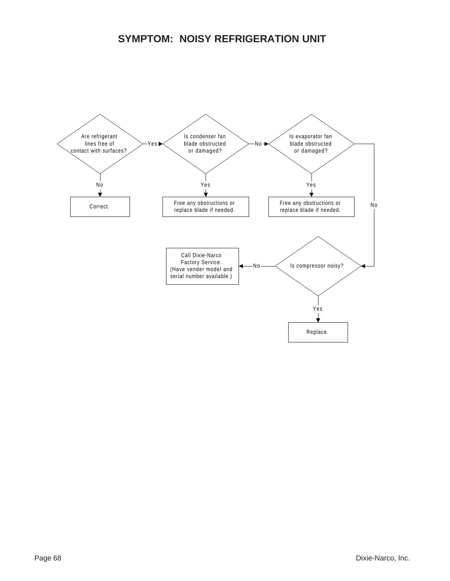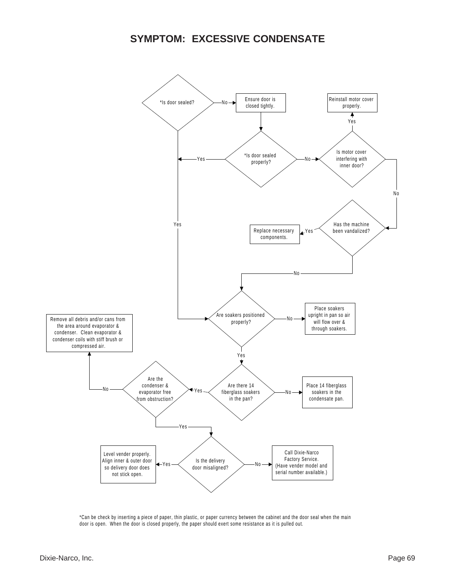# **SYMPTOM: EXCESSIVE CONDENSATE**



\*Can be check by inserting a piece of paper, thin plastic, or paper currency between the cabinet and the door seal when the main door is open. When the door is closed properly, the paper should exert some resistance as it is pulled out.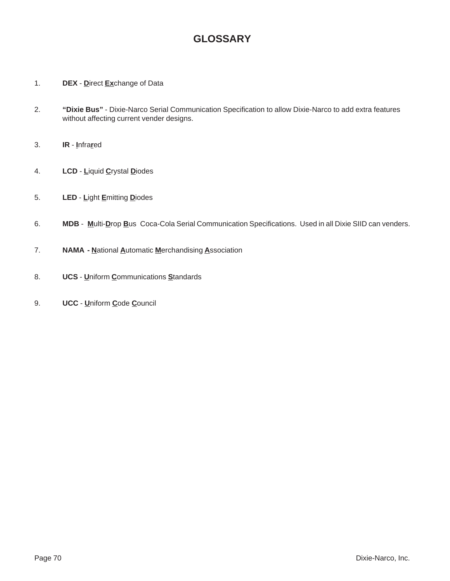# **GLOSSARY**

- 1. **DEX D**irect **Ex**change of Data
- 2. **"Dixie Bus"** Dixie-Narco Serial Communication Specification to allow Dixie-Narco to add extra features without affecting current vender designs.
- 3. **IR I**nfra**r**ed
- 4. **LCD L**iquid **C**rystal **D**iodes
- 5. **LED L**ight **E**mitting **D**iodes
- 6. **MDB M**ulti-**D**rop **B**us Coca-Cola Serial Communication Specifications. Used in all Dixie SIID can venders.
- 7. **NAMA N**ational **A**utomatic **M**erchandising **A**ssociation
- 8. **UCS U**niform **C**ommunications **S**tandards
- 9. **UCC U**niform **C**ode **C**ouncil